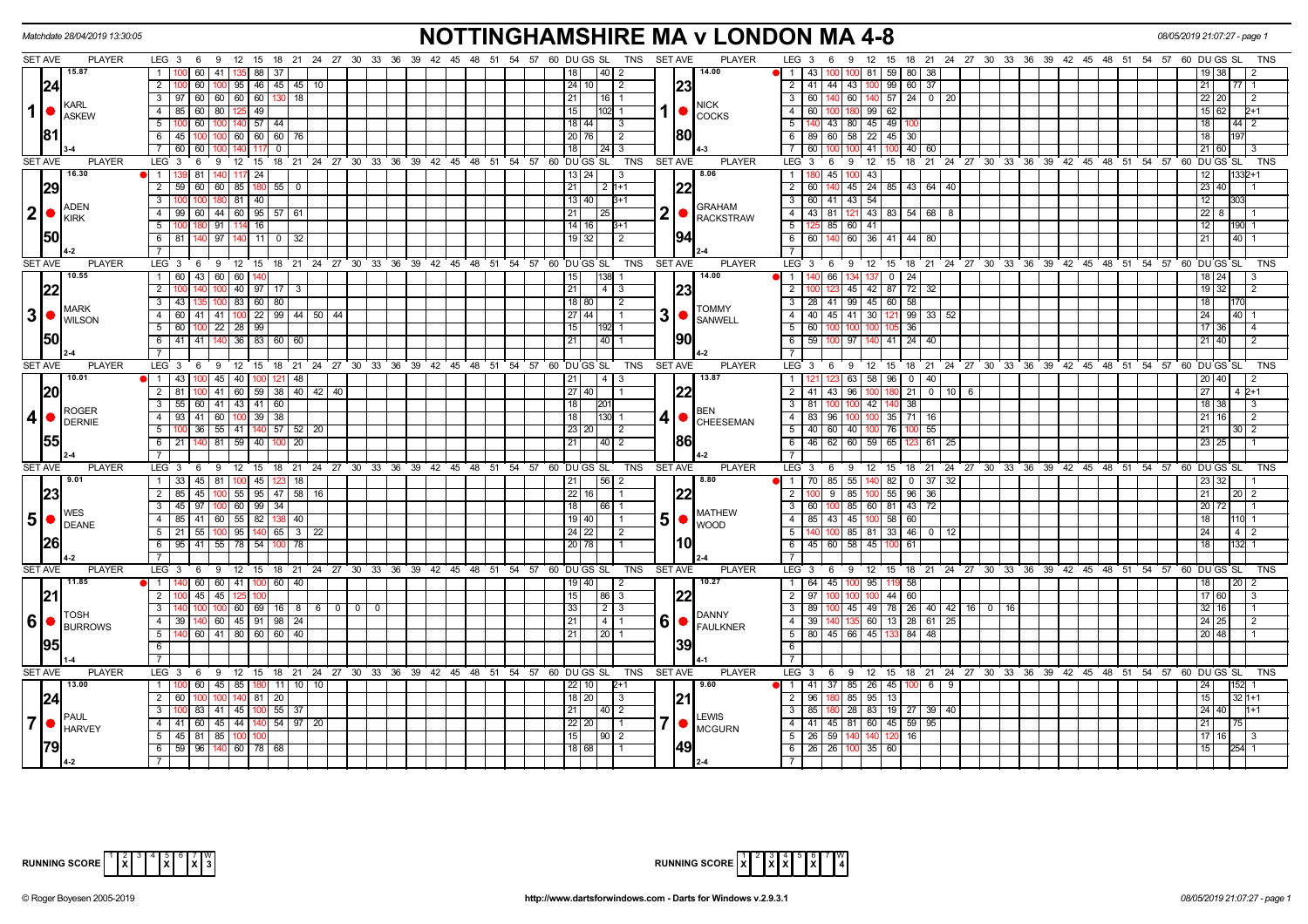|                 | Matchdate 28/04/2019 13:30:05            |                                                                                                          | <b>NOTTINGHAMSHIRE MA v LONDON MA 4-8</b>                                                                                                                                                                    | 08/05/2019 21:07:27 - page 1                  |
|-----------------|------------------------------------------|----------------------------------------------------------------------------------------------------------|--------------------------------------------------------------------------------------------------------------------------------------------------------------------------------------------------------------|-----------------------------------------------|
|                 | <b>SET AVE</b><br><b>PLAYER</b>          |                                                                                                          | LEG 3 6 9 12 15 18 21 24 27 30 33 36 39 42 45 48 51 54 57 60 DUGS SL TNS SETAVE<br><b>PLAYER</b><br>LEG <sub>3</sub><br>12 15 18 21 24 27 30 33 36 39 42 45 48 51 54 57 60 DU GS SL<br>9<br>6                | <b>TNS</b>                                    |
|                 | 15.87                                    | $\overline{1}$<br>100 60 41 135 88 37                                                                    | 40 2<br>14.00<br>  1   43   100   100   81   59   80   38  <br>18                                                                                                                                            | 19 38                                         |
|                 | 24                                       | $\overline{2}$<br>60<br>  95   46   45   45   10                                                         | 23<br>2   41   44   43   100   99   60   37<br>24   10  <br>-2                                                                                                                                               | 21<br>77                                      |
|                 |                                          | 97 60 60 60 60<br>$\overline{\mathbf{3}}$<br>18                                                          | $3   60   140   60   140   57   24   0   20$<br>21<br>16   1                                                                                                                                                 | 22 20                                         |
|                 | KARL<br>$1$ $\bullet$                    | 85 60 80 125 49<br>$\overline{4}$                                                                        | <b>NICK</b><br>$1  \bullet  _{\text{COCKS}}$<br>15<br>$102$ 1<br>$\overline{4}$<br>60<br>100 180 99 62                                                                                                       | $15 \ 62$                                     |
|                 | <b>ASKEW</b>                             | $\overline{5}$<br>60<br>140 57 44                                                                        | $\overline{5}$<br>18 44 <br>140 43 80 45 49<br>-3                                                                                                                                                            | 18<br>44                                      |
|                 | 81                                       | 6<br>45 100 100<br>60 60 60<br>76                                                                        | 80<br>6<br>89 60 58 22 45 30<br>$20$ 76<br>$\sqrt{2}$                                                                                                                                                        | 18                                            |
|                 |                                          |                                                                                                          |                                                                                                                                                                                                              |                                               |
|                 |                                          | $\overline{7}$<br>60 60<br>$^{\circ}$                                                                    | $\overline{7}$<br>41 100 40 60<br>18 I<br>$ 24 $ 3<br>60                                                                                                                                                     | 21 60                                         |
|                 | SET AVE<br><b>PLAYER</b>                 | $LEG \ 3$<br>$12 \quad 15$<br>6<br><b>9</b>                                                              | 18 21 24 27 30 33 36 39 42 45 48 51 54 57 60 DUGS SL<br>18 21 24 27 30 33 36 39 42 45 48 51 54 57 60 DUGS SL<br><b>TNS</b><br><b>SET AVE</b><br><b>PLAYER</b><br>$LEG^{\prime}$ 3<br>$12 \quad 15$<br>6<br>9 | <b>TNS</b>                                    |
|                 | 16.30                                    | 81<br>117 24<br>$\mathbf{1}$                                                                             | 8.06<br>45<br>43<br>13 24 <br>$\mathbf{1}$                                                                                                                                                                   |                                               |
|                 | 29                                       | $\overline{2}$<br>59 60<br>60 85 180 55<br>$\overline{0}$                                                | 22<br>$\overline{2}$<br>21<br>45 24 85 43 64 40<br>$2 1+1 $<br>60                                                                                                                                            | 23 40                                         |
|                 | <b>ADEN</b>                              | $\overline{\mathbf{3}}$<br>$81 \mid 40$<br>100<br>180                                                    | 13   40 <br>$\overline{\mathbf{3}}$<br>60 41 43 54<br>$3+1$<br><b>GRAHAM</b>                                                                                                                                 | 12                                            |
|                 | 2 •<br>KIRK                              | 99 60 44 60 95 57<br>$\overline{4}$<br>61                                                                | 2 <b>C</b> RACKSTRAW<br>43   81   121   43   83   54   68   8<br>21<br>$\overline{4}$<br>25                                                                                                                  | $22 \mid 8$                                   |
|                 |                                          | $\overline{5}$<br>180 91<br>114 16                                                                       | $14$ 16<br>5 <sup>5</sup><br>$125 \mid 85 \mid 60 \mid 41$<br>$B + 1$                                                                                                                                        | 12<br>190                                     |
|                 | <b>50</b>                                | $6$ 81<br>140 97<br>11   0   32                                                                          | 94 <br>6 6 6 140 60 36 41 44 80<br>$19$ 32<br>$\sqrt{2}$                                                                                                                                                     | 21<br>40                                      |
|                 |                                          |                                                                                                          |                                                                                                                                                                                                              |                                               |
|                 | <b>SET AVE</b><br><b>PLAYER</b>          | $LEG \ 3$<br>ົ 9<br>12 15 18 21 24 27 30 33<br>6                                                         | <b>PLAYER</b><br>LEG 3<br>36 39 42 45 48 51 54 57 60 DUGS SL<br>TNS<br><b>SET AVE</b><br>9<br>12 15 18 21 24 27 30 33 36<br>6                                                                                | 39 42 45 48 51 54 57 60 DUGS SL<br><b>TNS</b> |
|                 | 10.55                                    | 1 60 43<br>60 60 140                                                                                     | 14.00<br>24<br>15<br>$\overline{1}$<br>66<br>13700<br>138                                                                                                                                                    | 18 24                                         |
|                 | 22                                       | $\overline{2}$<br>40 97 17<br>3                                                                          | 23<br>21<br>$4 \overline{3}$<br>$\overline{2}$<br>45 42 87 72<br>32                                                                                                                                          | $19$ 32                                       |
|                 |                                          | $\overline{3}$<br>83   60   80<br>$-43$                                                                  | $18$ 80<br>$\overline{\mathbf{3}}$<br>28 41 99 45 60 58<br>$\overline{2}$                                                                                                                                    | $\overline{18}$                               |
| 3               | <b>MARK</b><br>$\bullet$                 | 60 41 41 100 22 99 44 50 44<br>$\overline{4}$                                                            | <b>TOMMY</b><br>3<br>40 45 41 30 121 99 33 52<br> 27 44 <br>$\overline{4}$                                                                                                                                   | 24<br>40                                      |
|                 | <b>WILSON</b>                            | 5 <sup>5</sup><br>60 100 22 28 99                                                                        | $\bullet$<br><b>SANWELL</b><br>5<br>36<br>15 <sub>l</sub><br>60 l                                                                                                                                            | 17 36                                         |
|                 | <b>50</b>                                |                                                                                                          | 90                                                                                                                                                                                                           |                                               |
|                 |                                          | $36 \mid 83 \mid 60 \mid 60$<br>$6\overline{}$<br>41 41 140                                              | $6\overline{}$<br>100 97<br>21<br>40<br>59<br>140 41 24 40                                                                                                                                                   | $21 \ 40$                                     |
|                 |                                          |                                                                                                          | $\overline{7}$                                                                                                                                                                                               |                                               |
|                 | <b>SET AVE</b><br><b>PLAYER</b>          | $LEG_36$<br>12 15 18 21 24 27 30 33 36 39 42 45 48 51 54 57 60 DUGS SL<br><b>9</b>                       | <b>TNS</b><br><b>SET AVE</b><br><b>PLAYER</b><br>$LEG_3$ 6<br>9 12 15 18 21 24 27 30 33 36 39 42 45 48 51 54 57 60 DUGSSL                                                                                    | TNS                                           |
|                 | 10.01                                    | 40<br>$\mathbf{1}$<br>43<br>45<br>48<br>100 I<br>1001<br>121                                             | 13.87<br>$\overline{1}$<br>$-58$<br>96<br>21<br>4<br>63<br>$\mathbf{0}$<br>40                                                                                                                                | 20<br>40                                      |
|                 | 20                                       | $\overline{2}$<br>$\overline{00}$ 41 60 59 38<br>$40 \mid 42 \mid 40$<br>81                              | $\overline{2}$<br>41 43 96<br>21<br>27   40<br>$0$ 10 6                                                                                                                                                      | 27<br>$4\,p+1$                                |
|                 | <b>ROGER</b>                             | $\overline{3}$<br>$\overline{55}$ 60 41 43 41 60                                                         | $\overline{38}$<br>18<br>81<br>42 140<br>1201<br>100<br><b>BEN</b>                                                                                                                                           | 18 38                                         |
| 4               | $\bullet$<br>DERNIE                      | 4   93   41   60   100   39   38                                                                         | 4   CHEESEMAN<br>$4 \overline{83}$<br>$100$ 35 71 16<br>18 I<br>130<br>96   100                                                                                                                              | 21   16                                       |
|                 |                                          | $\overline{5}$<br>$100$ 36 55 41 140 57 52 20                                                            | $\overline{5}$<br>40 60 40 100 76<br>23 20 <br>55<br>$\overline{2}$                                                                                                                                          | 21                                            |
|                 | 55                                       | 6<br>140 81<br>59 40<br>$\overline{20}$<br>211                                                           | 86<br>6<br>46 62 60 59 65<br>$61$   25<br>21<br>140   2                                                                                                                                                      | 23                                            |
|                 |                                          |                                                                                                          |                                                                                                                                                                                                              |                                               |
|                 | <b>PLAYER</b><br><b>SET AVE</b>          | LEG <sub>3</sub><br>12 15 18 21 24 27 30 33 36 39 42 45 48 51 54 57 60 DUGSSL<br>$6^{\circ}$<br><b>β</b> | <b>PLAYER</b><br><b>TNS</b><br><b>SET AVE</b><br>LEG <sup>3</sup><br>12 15 18 21 24 27 30 33 36 39 42 45 48 51 54 57 60 DUGS SL<br>6<br>ີ 9⊧                                                                 | <b>TNS</b>                                    |
|                 | 9.01                                     | 1 33 45 81 100 45 123<br> 18                                                                             | 8.80<br>1 70 85 55 140 82 0 37 32<br> 56 2<br>121 I                                                                                                                                                          | 23 32                                         |
|                 | 23                                       | $\overline{2}$<br>85 45 100<br>55   95   47   58   16                                                    | $22$ 16<br><b>22</b><br>$9$ 85 100 55 96 36<br>$\overline{2}$                                                                                                                                                | 21<br>$20 \mid 2$                             |
|                 |                                          | $\overline{3}$<br>  60   99   34<br>45 97                                                                | 18<br>3   60 <br>100 85 60 81 43 72<br>66                                                                                                                                                                    | 20 72                                         |
| 5 <sup>1</sup>  | <b>WES</b><br>$\bullet$                  | $\overline{4}$<br>$85$ 41<br>60 55 82<br>40                                                              | <b>MATHEW</b><br>5  <sub>•</sub><br>85   43   45   100   58   60<br>19   40<br>$\overline{4}$                                                                                                                |                                               |
|                 | DEANE                                    | 5<br>95<br>21 <sup>1</sup><br>55<br>65<br>3 I<br>22                                                      | <b>WOOD</b><br>5<br>85<br>81 33<br>46<br>$24 \mid 22 \mid$<br>0 1 1 2<br>$\mathcal{P}$                                                                                                                       | 24                                            |
|                 | 26                                       | 6<br>$95 \mid 41$<br>55<br>78 54<br>78                                                                   | l10l<br>20 78 <br>6<br>45 60 58<br>$-45$<br>61                                                                                                                                                               | 18                                            |
|                 |                                          | $\overline{7}$                                                                                           | $\overline{7}$                                                                                                                                                                                               |                                               |
|                 |                                          |                                                                                                          | <b>SET AVE</b>                                                                                                                                                                                               |                                               |
|                 | <b>SET AVE</b><br><b>PLAYER</b><br>11.85 | LEG <sub>3</sub><br>12 15 18 21 24 27 30 33 36 39 42 45 48 51<br>6<br>9                                  | 30 33 36 39 42 45<br>54 57 60 DU GS SL<br>TNS<br><b>PLAYER</b><br>LEG 3<br>$12 \quad 15$<br>$^{\circ}$ 18<br>6<br>9<br>21 24 27<br>10.27                                                                     | 48 51 54 57 60 DU GS SL<br>TNS                |
|                 |                                          | $1 140$<br>$60$ 60 41 $100$ 60 40                                                                        | 19   40  <br>1 64 45 100 95 119 58<br>l 2                                                                                                                                                                    | 18<br>$20 \mid 2$                             |
|                 | 21                                       | $\overline{2}$<br>$\overline{1}$ 45<br>45                                                                | $100$ 44 60<br> 22<br>$\overline{2}$<br>15<br>86 3<br>97                                                                                                                                                     | 17 60                                         |
|                 | <b>TOSH</b>                              | 3 <sup>1</sup><br>60 69 16 8 6 0 0 0<br>100                                                              | 100 45 49 78 26 40 42 16 0 16<br>33<br>$2 \mid 3$<br>$\overline{\mathbf{3}}$<br>89 I<br><b>DANNY</b>                                                                                                         | 32 16                                         |
| $6\phantom{1}6$ | $\bullet$<br><b>BURROWS</b>              | 39 140 60 45 91 98<br>$\overline{4}$<br>24                                                               | 6<br>$60$ 13 28 61 25<br>21<br>4<br>$\bigcap_{\mathsf{FAULKNER}}$<br>$\overline{4}$<br>39<br>140 135                                                                                                         | 24 25                                         |
|                 |                                          | $\overline{5}$<br>$60$ 41 80 60 60<br>40                                                                 | $5$ 80 45 66 45 133<br>84<br>48<br>21<br>20                                                                                                                                                                  | $20 \ 48$                                     |
|                 | 95                                       | 6                                                                                                        | 39 <br>$6\overline{6}$                                                                                                                                                                                       |                                               |
|                 |                                          | $\overline{7}$                                                                                           | $\overline{7}$                                                                                                                                                                                               |                                               |
|                 | <b>SET AVE</b><br><b>PLAYER</b>          | LEG 3 6 9 12 15 18 21 24 27 30 33 36 39 42 45 48 51 54 57 60 DUGS SL                                     | <b>PLAYER</b><br><b>TNS</b><br><b>SET AVE</b><br>$LEG1$ 3<br>i 6 9 12 15 18 21 24 27 30 33 36 39 42 45 48 51 54 57 60 DUGS SL                                                                                | <b>TNS</b>                                    |
|                 | 13.00                                    | 1<br>60<br>45<br>-85 I<br>11                                                                             | 37 85 26 45<br>9.60<br>$\overline{1}$<br>l 41                                                                                                                                                                |                                               |
|                 | 24                                       | $\overline{2}$<br>$\sqrt{20}$<br>60 I<br>140 81                                                          | 21 <br>$\overline{2}$<br>85<br>$95 \ 13$<br>18   20<br>96<br>-3                                                                                                                                              |                                               |
|                 |                                          | $\overline{\mathbf{3}}$<br>$45$   100   55  <br>83 41<br>-37                                             | $\overline{\mathbf{3}}$<br>80 28 83 19 27 39 40<br>21<br>$40$   2<br>85                                                                                                                                      | 24                                            |
| 7               | PAUL                                     | 41 60 45 44 140 54 97 20<br>$\overline{4}$                                                               | <b>LEWIS</b><br>$7$ $\bullet$ $\overline{\phantom{a}}$ MCGURN<br>$\overline{4}$<br>41 45 81 60 45 59 95<br>$22$ 20                                                                                           | 21                                            |
|                 | <b>HARVEY</b>                            | $\overline{5}$<br>45 81 85 100 100                                                                       | 15<br>$\overline{5}$<br>26 59 140 140 120<br> 90 2<br>16                                                                                                                                                     | 17 16                                         |
|                 | <u> 1791</u>                             | 6 59 96 140<br>  60   78   68                                                                            | 49<br>$6 \mid 26 \mid 26 \mid 100$<br>18 68 <br>35 60                                                                                                                                                        | 15                                            |
|                 |                                          |                                                                                                          | $\overline{7}$                                                                                                                                                                                               |                                               |
|                 |                                          |                                                                                                          |                                                                                                                                                                                                              |                                               |



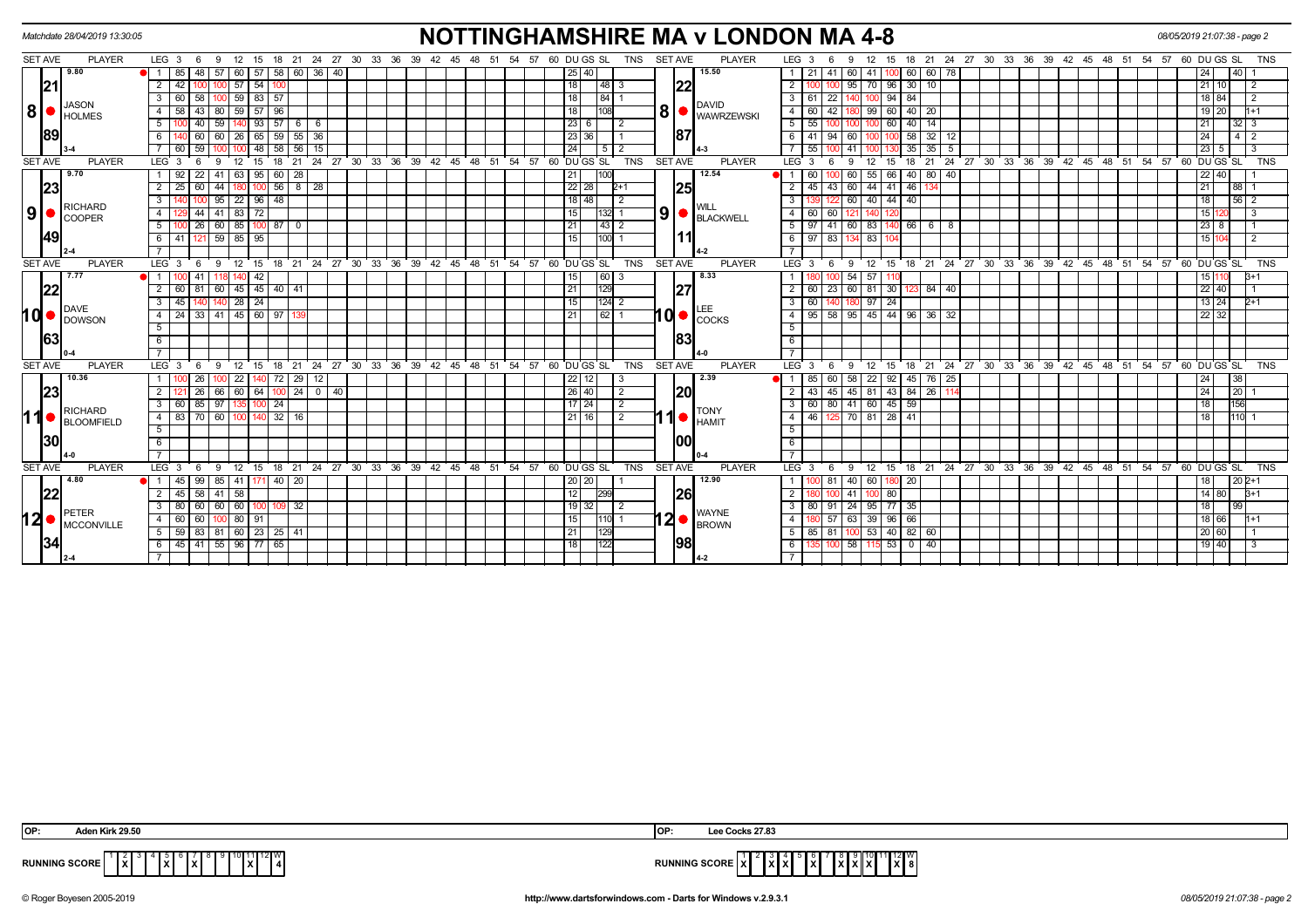|                |                | Matchdate 28/04/2019 13:30:05                    |                                                             |       |             |             |           |                                  |                |         |                                                            |             |  |                        |  |  |                 |                      |        |                |                |                | <b>NOTTINGHAMSHIRE MA v LONDON MA 4-8</b>     |                                 |             |                                        |                        |          |               |              |                 |  |  |                                                            |  |    | 08/05/2019 21:07:38 - page 2 |                   |    |                 |                |  |
|----------------|----------------|--------------------------------------------------|-------------------------------------------------------------|-------|-------------|-------------|-----------|----------------------------------|----------------|---------|------------------------------------------------------------|-------------|--|------------------------|--|--|-----------------|----------------------|--------|----------------|----------------|----------------|-----------------------------------------------|---------------------------------|-------------|----------------------------------------|------------------------|----------|---------------|--------------|-----------------|--|--|------------------------------------------------------------|--|----|------------------------------|-------------------|----|-----------------|----------------|--|
| SET AVE        |                | <b>PLAYER</b>                                    | LEG $3 \quad 6$                                             |       | - 9         |             |           |                                  |                |         | 12 15 18 21 24 27 30 33 36 39 42 45 48 51 54 57 60 DUGS SL |             |  |                        |  |  |                 |                      |        | TNS            | <b>SET AVE</b> |                | <b>PLAYER</b>                                 | LEG <sub>3</sub>                | 6           | 9                                      | 12                     | 15       |               |              |                 |  |  | 18 21 24 27 30 33 36 39 42 45 48 51 54 57 60 DU GS SL      |  |    |                              |                   |    |                 | <b>TNS</b>     |  |
|                |                | 9.80                                             | 85                                                          |       | 48 57       |             |           | 60 57 58 60 36                   |                |         | 40                                                         |             |  |                        |  |  |                 | 25 40                |        |                |                |                | 15.50                                         | 21                              | 41          | -60 I                                  | 41 I                   | 100      | 60 I          | 60           | 78              |  |  |                                                            |  |    |                              |                   |    | 40              |                |  |
|                | 21             |                                                  | 2<br>42                                                     |       |             |             | $57$   54 |                                  |                |         |                                                            |             |  |                        |  |  | 18 <sup>1</sup> |                      | 48     |                |                | 22             |                                               | $\overline{2}$                  |             | 95                                     | 70 I                   | 96       | 30 10         |              |                 |  |  |                                                            |  |    |                              | 21                | 10 |                 | $\overline{2}$ |  |
|                |                |                                                  | 3 <sup>1</sup>                                              | 60 58 |             |             |           | $100 \mid 59 \mid 83 \mid 57$    |                |         |                                                            |             |  |                        |  |  | 18 <sup>1</sup> |                      | 84     |                |                |                |                                               | 3   61                          | 22          |                                        |                        | 100 94   | 84            |              |                 |  |  |                                                            |  |    |                              | 18 84             |    |                 | $\overline{2}$ |  |
|                |                | <b>JASON</b><br>$8 \nvert \nvert$ $\big $ HOLMES | 58<br>4                                                     |       | 43 80       |             |           | $59$ 57 96                       |                |         |                                                            |             |  |                        |  |  | 18 I            |                      | 108    |                | 8 <sup>1</sup> |                | <b>DAVID</b><br><b>WAWRZEWSKI</b>             | $\overline{4}$<br>60            | 42          |                                        |                        | 99 60    |               | 40   20      |                 |  |  |                                                            |  |    |                              | 19 20             |    | 1+1             |                |  |
|                |                |                                                  | 5                                                           |       | 40   59     |             |           | $140$ 93 57 6 6                  |                |         |                                                            |             |  |                        |  |  |                 | 23 6                 |        | $\overline{2}$ |                |                |                                               | -5 I<br>55                      |             |                                        |                        | 100 60 1 |               | 40   14      |                 |  |  |                                                            |  |    |                              | 21                |    | $32 \mid 3$     |                |  |
|                | 89             |                                                  | 6                                                           |       | 60          |             |           | 26   65   59                     |                | 55 36   |                                                            |             |  |                        |  |  |                 | 23 36                |        |                |                | 187            |                                               |                                 | 94          | 60                                     |                        |          | $58$ 32       |              | 12              |  |  |                                                            |  |    |                              | 24                |    | 412             |                |  |
|                |                |                                                  |                                                             |       |             |             | 48 I      | 58                               | 56             | 15      |                                                            |             |  |                        |  |  |                 |                      | - 5    |                |                |                |                                               |                                 |             | 41                                     |                        |          | 35            | 35           |                 |  |  |                                                            |  |    |                              | 23                | 5  | $\cdot$ 3       |                |  |
| <b>SET AVE</b> |                | <b>PLAYER</b>                                    | LEG <sub>3</sub>                                            |       | -9          | 12          | 15        | 18                               | 21             |         | 24 27 30 33 36 39                                          |             |  | $42 \quad 45 \quad 48$ |  |  |                 | 51 54 57 60 DUGS SL  |        | <b>TNS</b>     |                | <b>SET AVE</b> | <b>PLAYER</b>                                 | LEG <sub>3</sub>                |             | -9                                     | 12                     | 15       | 18            | 21           |                 |  |  | 24 27 30 33 36 39 42 45 48 51                              |  |    | $54$ $57$ 60 DU GS SL        |                   |    |                 | <b>TNS</b>     |  |
|                |                | 9.70                                             | 1 9 9 2                                                     |       | $22$   41   |             |           | 63   95   60                     | 28             |         |                                                            |             |  |                        |  |  | 21              |                      | 100    |                |                |                | 12.54                                         | 60                              |             | 60                                     |                        | 55 66    |               | 40 80        | 40              |  |  |                                                            |  |    |                              | 22                | 40 |                 |                |  |
|                | 23             |                                                  | 25<br>$\overline{2}$                                        | 60    | 44          |             |           | $100$ 56 8 28                    |                |         |                                                            |             |  |                        |  |  |                 | $22$ 28              | $2+1$  |                |                | 25             |                                               | 2<br>45                         | 43          | 60                                     |                        | 44 41    | 46            |              |                 |  |  |                                                            |  |    |                              | 21                |    | 88 I            |                |  |
|                |                | RICHARD                                          | 3                                                           |       | 95          |             |           | 22   96   48                     |                |         |                                                            |             |  |                        |  |  |                 | $18$   48            |        |                |                |                | <b>WILL</b>                                   | 3                               |             | 60                                     |                        | 40 44    | 40            |              |                 |  |  |                                                            |  |    |                              | 18                |    | 56 <sub>1</sub> |                |  |
| 9 <sup>1</sup> |                | <b>COOPER</b>                                    | 4 I                                                         |       | 44 41 83 72 |             |           |                                  |                |         |                                                            |             |  |                        |  |  | 15 <sub>l</sub> |                      | 132    |                | 9 <sup>1</sup> |                | <b>BLACKWELL</b>                              | $4 \mid 60 \mid$                | 60          | 121                                    |                        |          |               |              |                 |  |  |                                                            |  |    |                              | 15                |    |                 | -3             |  |
|                |                |                                                  | 5 <sup>5</sup>                                              |       | 26   60     |             |           | 85   100   87                    | $\overline{0}$ |         |                                                            |             |  |                        |  |  | 21              |                      | 43 2   |                |                |                |                                               | $5 \vert$                       | l 41        | 60                                     |                        |          | 83 140 66 6 8 |              |                 |  |  |                                                            |  |    |                              | $23 \mid 8$       |    |                 |                |  |
|                | 49             |                                                  | 6 41 121 59 85 95                                           |       |             |             |           |                                  |                |         |                                                            |             |  |                        |  |  | 15 <sub>l</sub> |                      | 1100   |                |                |                |                                               | 6   97   83   134   83   104    |             |                                        |                        |          |               |              |                 |  |  |                                                            |  |    |                              | 15 104            |    |                 | $\overline{2}$ |  |
|                |                |                                                  |                                                             |       |             |             |           |                                  |                |         |                                                            |             |  |                        |  |  |                 |                      |        |                |                |                |                                               |                                 |             |                                        |                        |          |               |              |                 |  |  |                                                            |  |    |                              |                   |    |                 |                |  |
|                | <b>SET AVE</b> | <b>PLAYER</b>                                    | LEG <sup>3</sup>                                            | - 6   | 9           |             | 12 15     |                                  |                |         | 18 21 24 27 30 33 36 39 42 45 48 51 54 57 60 DUGS SL       |             |  |                        |  |  |                 |                      |        | <b>TNS</b>     | <b>SET AVE</b> |                | <b>PLAYER</b>                                 | LEG 3                           |             | -9                                     | $12 \overline{ }$      | 15       |               |              |                 |  |  | 18 21 24 27 30 33 36 39 42 45 48 51 54 57 60 DUGS SL       |  |    |                              |                   |    |                 | <b>TNS</b>     |  |
|                |                | 7.77                                             |                                                             |       |             |             | 42        |                                  |                |         |                                                            |             |  |                        |  |  | 15              |                      | 60 3   |                |                |                | 8.33                                          |                                 |             | 54                                     | 57                     |          |               |              |                 |  |  |                                                            |  |    |                              | 15 <sup>1</sup>   |    |                 |                |  |
|                | 22             |                                                  | $\overline{2}$                                              |       |             |             |           | 60   81   60   45   45   40   41 |                |         |                                                            |             |  |                        |  |  | $\overline{21}$ |                      | 129    |                |                | 27             |                                               | $\overline{2}$                  |             | 60   23   60   81   30   123   84   40 |                        |          |               |              |                 |  |  |                                                            |  |    |                              | 22   40           |    |                 |                |  |
|                |                | DAVE                                             | 3 I<br>45                                                   |       |             | $140$ 28 24 |           |                                  |                |         |                                                            |             |  |                        |  |  | 15              |                      | 124 2  |                |                |                | LEE                                           | $\overline{\phantom{a}3}$<br>60 |             | 140   180                              |                        | $97$ 24  |               |              |                 |  |  |                                                            |  |    |                              | $13 \mid 24$      |    | $2+1$           |                |  |
|                |                | $10o$ $DAVE$ DOWSON                              | 4 24 33 41 45 60 97                                         |       |             |             |           |                                  |                |         |                                                            |             |  |                        |  |  | l 21            |                      | 62     |                |                | IQI ●          | COCKS                                         | 95<br>$-4$                      |             | 58 95 45 44 96 36 32                   |                        |          |               |              |                 |  |  |                                                            |  |    |                              | $22 \mid 32$      |    |                 |                |  |
|                |                |                                                  | 5                                                           |       |             |             |           |                                  |                |         |                                                            |             |  |                        |  |  |                 |                      |        |                |                |                |                                               | 5                               |             |                                        |                        |          |               |              |                 |  |  |                                                            |  |    |                              |                   |    |                 |                |  |
|                | 63             |                                                  | 6                                                           |       |             |             |           |                                  |                |         |                                                            |             |  |                        |  |  |                 |                      |        |                |                | 83             |                                               | 6                               |             |                                        |                        |          |               |              |                 |  |  |                                                            |  |    |                              |                   |    |                 |                |  |
|                |                |                                                  |                                                             |       |             |             |           |                                  |                |         |                                                            |             |  |                        |  |  |                 |                      |        |                |                |                |                                               |                                 |             |                                        |                        |          |               |              |                 |  |  |                                                            |  |    |                              |                   |    |                 |                |  |
| <b>SET AVE</b> |                | <b>PLAYER</b>                                    | LEG <sub>3</sub>                                            | - 6   | - 9         | 12          | 15        | 18                               | 21             |         | 24 27                                                      | 30 33 36 39 |  | $42 \t 45 \t 48$       |  |  |                 | 51 54 57 60 DU GS SL |        | <b>TNS</b>     | <b>SET AVE</b> |                | <b>PLAYER</b>                                 | $LEG_3$                         | -6          | 9                                      | 12                     | 15       |               |              |                 |  |  | 18 21 24 27 30 33 36 39 42 45 48 51                        |  | 54 | 57 60 DU GS SL               |                   |    |                 | <b>TNS</b>     |  |
|                |                | 10.36                                            |                                                             | 26    |             |             |           | 22   140   72                    |                | 29   12 |                                                            |             |  |                        |  |  |                 | 22   12              | -3     |                |                |                | 2.39                                          | 85                              |             | 60   58                                |                        | 22 92    |               | 45   76   25 |                 |  |  |                                                            |  |    |                              | 24                |    | 38              |                |  |
|                | 23             |                                                  | $\overline{2}$                                              |       | 26   66     |             |           |                                  |                |         | 60 64 100 24 0 40                                          |             |  |                        |  |  |                 | 26 40                |        | 2              |                | I20l           |                                               | $\overline{2}$<br>43 I          |             | 45   45   81   43   84   26            |                        |          |               |              | 11 <sup>2</sup> |  |  |                                                            |  |    |                              | 24                |    | 20              |                |  |
|                |                | <b>RICHARD</b>                                   | 3 I                                                         |       |             |             |           | 60 85 97 135 100 24              |                |         |                                                            |             |  |                        |  |  |                 | 17 24                |        | 2              |                |                | <b>TONY</b>                                   | $\overline{\phantom{a}3}$       |             | 60 80 41 60 45 59                      |                        |          |               |              |                 |  |  |                                                            |  |    |                              | 18                |    | 156             |                |  |
| ∣1             |                | <b>BLOOMFIELD</b>                                | 4 83 70 60                                                  |       |             |             |           | $100$ 140 32 16                  |                |         |                                                            |             |  |                        |  |  |                 | $21$ 16              |        | $\overline{2}$ |                |                | <b>HAMIT</b>                                  | 4                               |             | 46   125   70   81   28   41           |                        |          |               |              |                 |  |  |                                                            |  |    |                              | $\overline{18}$   |    | 1110            |                |  |
|                |                |                                                  | 5                                                           |       |             |             |           |                                  |                |         |                                                            |             |  |                        |  |  |                 |                      |        |                |                |                |                                               | 5                               |             |                                        |                        |          |               |              |                 |  |  |                                                            |  |    |                              |                   |    |                 |                |  |
|                | 30             |                                                  | 6                                                           |       |             |             |           |                                  |                |         |                                                            |             |  |                        |  |  |                 |                      |        |                |                | 1001           |                                               | 6                               |             |                                        |                        |          |               |              |                 |  |  |                                                            |  |    |                              |                   |    |                 |                |  |
|                |                |                                                  | $\overline{7}$                                              |       |             |             |           |                                  |                |         |                                                            |             |  |                        |  |  |                 |                      |        |                |                |                |                                               | $\overline{7}$                  |             |                                        |                        |          |               |              |                 |  |  |                                                            |  |    |                              |                   |    |                 |                |  |
| <b>SET AVE</b> |                | <b>PLAYER</b>                                    | LEG <sub>3</sub>                                            | - 6   | - 9         |             |           |                                  |                |         | 12 15 18 21 24 27 30 33 36 39 42 45 48 51 54 57 60 DUGS SL |             |  |                        |  |  |                 |                      |        | <b>TNS</b>     | SET AVE        |                | <b>PLAYER</b>                                 | LEG <sup>3</sup>                | -6          | - 9                                    |                        |          |               |              |                 |  |  | 12 15 18 21 24 27 30 33 36 39 42 45 48 51 54 57 60 DUGS SL |  |    |                              |                   |    |                 | <b>TNS</b>     |  |
|                |                | 4.80                                             | $\bullet$ 1 45                                              |       | 99 85       |             |           | 41 171 40 20                     |                |         |                                                            |             |  |                        |  |  |                 | 20   20              |        |                |                |                | 12.90                                         |                                 | 81          | 40                                     | 60 l                   |          | 180 20        |              |                 |  |  |                                                            |  |    |                              |                   |    | $202+1$         |                |  |
|                | 22             |                                                  | 2 <sup>1</sup>                                              |       | 45 58 41 58 |             |           |                                  |                |         |                                                            |             |  |                        |  |  | 12              |                      | 299    |                |                | 126            |                                               | $\overline{2}$                  |             | 100 41 100 80                          |                        |          |               |              |                 |  |  |                                                            |  |    |                              | $14 \ 80$         |    | $B+1$           |                |  |
|                |                | PETER                                            | $3 \mid 80 \mid 60 \mid 60 \mid 60 \mid 100 \mid 109$       |       |             |             |           |                                  | 32             |         |                                                            |             |  |                        |  |  |                 | $19$ 32              |        | -2             |                |                | <b>WAYNE</b>                                  | 3 <sup>1</sup>                  | 80 91       |                                        | 24 95 77 35            |          |               |              |                 |  |  |                                                            |  |    |                              | 18                |    | 99              |                |  |
|                |                | $12 \bullet \vert_{\text{MCCONVILLE}}$           | 4 60 60 100 80 91                                           |       |             |             |           |                                  |                |         |                                                            |             |  |                        |  |  | 15 <sub>l</sub> |                      | 110  1 |                |                |                | $12 \bullet  _{\text{BROWN}}^{\text{WATINE}}$ | 4                               |             | 57 63 39 96 66                         |                        |          |               |              |                 |  |  |                                                            |  |    |                              | 18 66             |    | $1 + 1$         |                |  |
|                |                |                                                  | $5 \mid 59 \mid 83 \mid 81 \mid 60 \mid 23 \mid 25 \mid 41$ |       |             |             |           |                                  |                |         |                                                            |             |  |                        |  |  | 21              |                      | 129    |                |                |                |                                               | -5 I                            | $85$   $81$ | 100                                    |                        |          | 53 40 82 60   |              |                 |  |  |                                                            |  |    |                              | $20\overline{60}$ |    |                 |                |  |
|                | 34             |                                                  | $6$ 45 41 55 96 77 65                                       |       |             |             |           |                                  |                |         |                                                            |             |  |                        |  |  | l 18 l          |                      | 122    |                |                | 1981           |                                               | 6                               | 100         |                                        | 58   115   53   0   40 |          |               |              |                 |  |  |                                                            |  |    |                              | 19 40             |    |                 |                |  |
|                |                |                                                  |                                                             |       |             |             |           |                                  |                |         |                                                            |             |  |                        |  |  |                 |                      |        |                |                |                |                                               |                                 |             |                                        |                        |          |               |              |                 |  |  |                                                            |  |    |                              |                   |    |                 |                |  |

| ାଠା                        | n Kirk 29.50                                                                                   | loı | cks 27.83                                         |
|----------------------------|------------------------------------------------------------------------------------------------|-----|---------------------------------------------------|
| <b>JNNING SCORE</b><br>. . | $\mathbf{x}$<br>$\mathbf{r}$<br>.<br>1 X I<br>- 71<br>$\mathbf{r}$<br>$\overline{\phantom{a}}$ |     | X 8<br>$\mathbf{r}$<br>suure<br>.<br>$\mathbf{r}$ |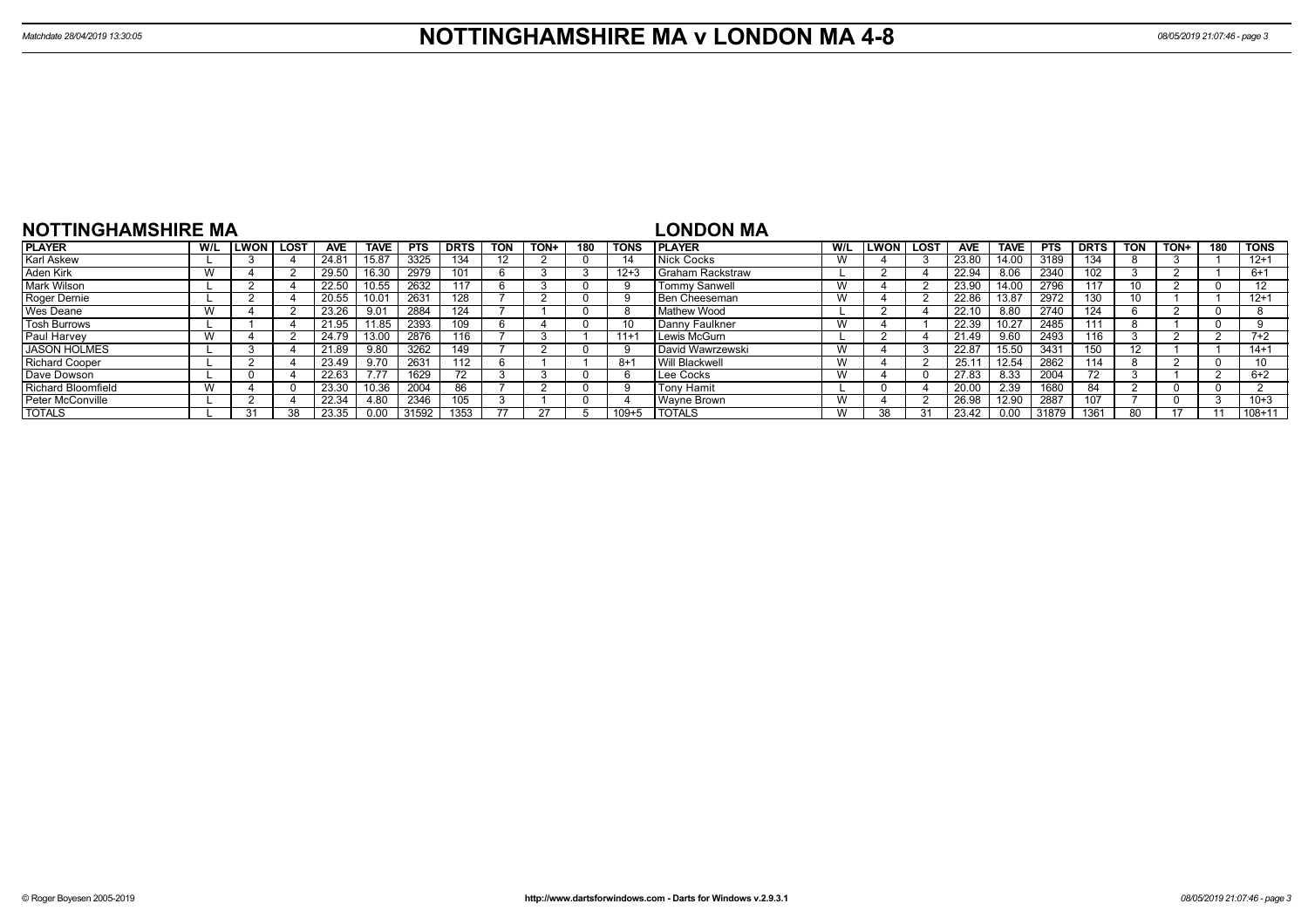| NOTTINGHAMSHIRE MA        |     |      |             |            |             |            |             |            |             |     |             | <b>LONDON MA</b>     |     |             |             |              |             |       |             |            |      |     |             |
|---------------------------|-----|------|-------------|------------|-------------|------------|-------------|------------|-------------|-----|-------------|----------------------|-----|-------------|-------------|--------------|-------------|-------|-------------|------------|------|-----|-------------|
| <b>PLAYER</b>             | W/L | LWON | <b>LOST</b> | <b>AVE</b> | <b>TAVE</b> | <b>PTS</b> | <b>DRTS</b> | <b>TON</b> | <b>TON+</b> | 180 | <b>TONS</b> | <b>IPLAYER</b>       | W/L | <b>LWON</b> | <b>LOST</b> | <b>AVE</b>   | <b>TAVE</b> | PTS   | <b>DRTS</b> | <b>TON</b> | TON+ | 180 | <b>TONS</b> |
| Karl Askew                |     |      |             | 24.81      |             | 3325       | 134         |            |             |     | -14         | Nick Cocks           | W   |             |             | 23.80        | 14.00       | 3189  | 134         |            |      |     | $12+1$      |
| Aden Kirk                 |     |      |             | 29.50      | 16.30       | 2979       |             |            |             |     | $12 + 3$    | Graham Rackstraw     |     |             |             | 22.94        | 8.06        | 2340  | 102         |            |      |     | $6+1$       |
| <b>Mark Wilson</b>        |     |      |             | 22.50      |             | 2632       | 117         |            |             |     |             | <b>Tommy Sanwell</b> | W   |             |             | 23.90        | 14.00       | 2796  | 117         |            |      |     | $1^{\circ}$ |
| Roger Dernie              |     |      |             | 20.55      |             | 2631       | 128         |            |             |     | -9          | Ben Cheeseman        | W   |             |             | 22.86        | 13.87       | 2972  | 130         |            |      |     | $12+1$      |
| <b>Wes Deane</b>          |     |      |             | 23.26      | 9.01        | 2884       | 124         |            |             |     | 8           | Mathew Wood          |     |             |             | 22.1         | 8.80        | 2740  | 124         |            |      |     |             |
| <b>Tosh Burrows</b>       |     |      |             | 21.95      | 1.85        | 2393       |             |            |             |     | 10          | Danny Faulkner       | W   |             |             | 22.39        | 10.27       | 2485  | 111         |            |      |     |             |
| Paul Harvey               |     |      |             | 24.79      | 13.00       | 2876       | 116         |            |             |     | $11 + 7$    | Lewis McGurn         |     |             |             | 21.49        | 9.60        | 2493  | 116         |            |      |     | $7+2$       |
| <b>JASON HOLMES</b>       |     |      |             | 21.89      | 9.80        | 3262       | 149         |            |             |     |             | David Wawrzewski     | W   |             |             | 22.87        | 15.50       | 343'  | 150         |            |      |     | $14+1$      |
| <b>Richard Cooper</b>     |     |      |             | 23.49      | 9.70        | 2631       | 112         |            |             |     | -8+1        | Will Blackwell       | W   |             |             | 25.1         | 12.54       | 2862  | 114         |            |      |     | 10          |
| Dave Dowson               |     |      |             | 22.63      | 7.77        | 1629       |             |            |             |     | 'n          | Lee Cocks            | W   |             |             | 27.83        | 8.33        | 2004  |             |            |      |     | $6+2$       |
| <b>Richard Bloomfield</b> |     |      |             | 23.30      | 0.36        | 2004       | 86          |            |             |     | c           | <b>Tony Hamit</b>    |     |             |             | <b>20.00</b> | 2.39        | 1680  | 84          |            |      |     |             |
| Peter McConville          |     |      |             | 22.34      | 4.80        | 2346       | 105         |            |             |     |             | Wavne Brown          | W   |             |             | 26.98        | 12.90       | 2887  |             |            |      |     | $10 + 3$    |
| <b>TOTALS</b>             |     | 31   | 38          | 23.35      | 0.00        | 31592      | 1353        |            |             |     | $109 + 5$   | <b>I TOTALS</b>      | W   |             |             | 23.42        | 0.00        | 31879 | 1361        |            | 47   |     | $108 + 11$  |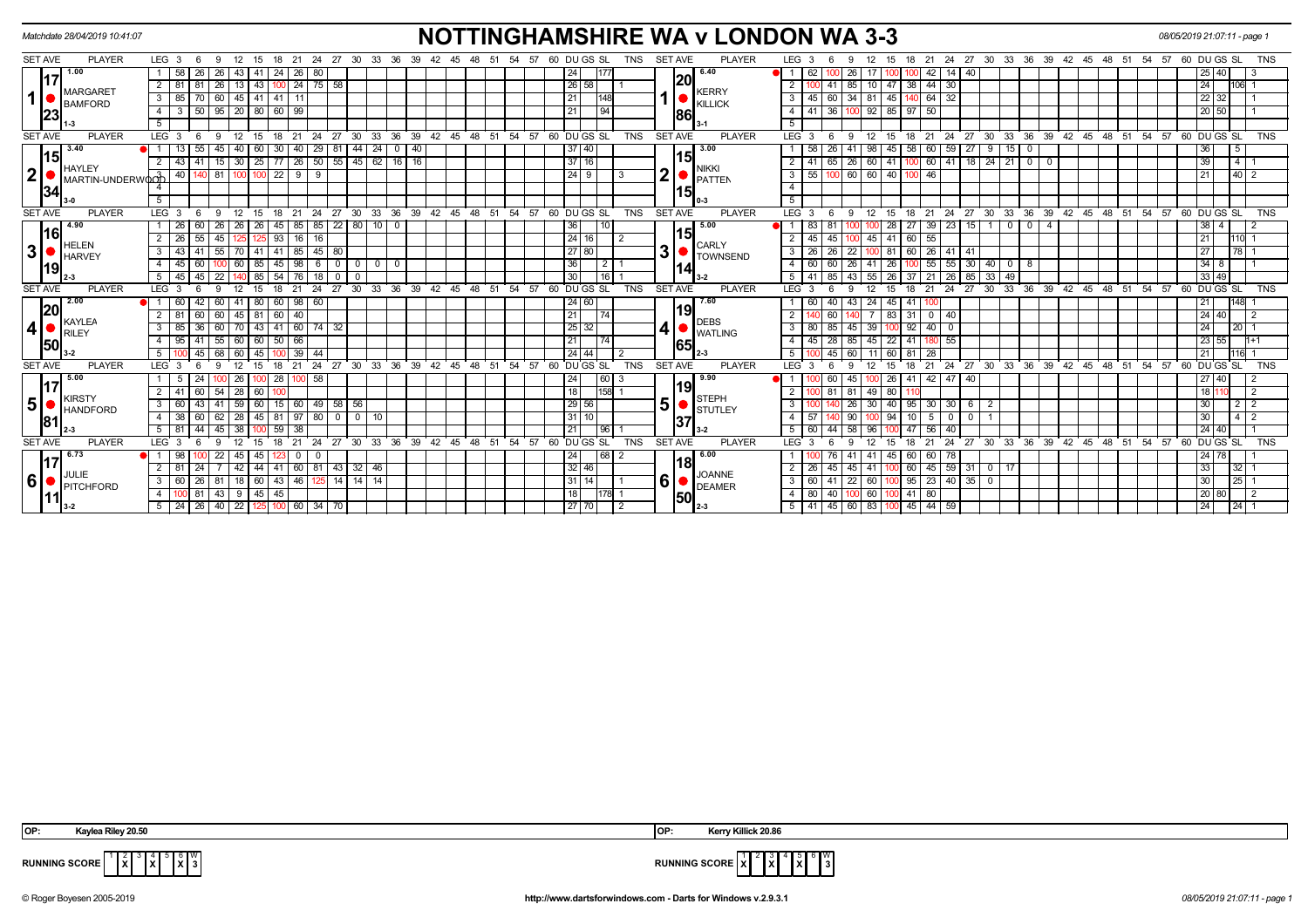|                | Matchdate 28/04/2019 10:41:07 |                                                                 |                                                                                      | <b>NOTTINGHAMSHIRE WA v LONDON WA 3-3</b>                                  |                                                                                            | 08/05/2019 21:07:11 - page 1                                                             |
|----------------|-------------------------------|-----------------------------------------------------------------|--------------------------------------------------------------------------------------|----------------------------------------------------------------------------|--------------------------------------------------------------------------------------------|------------------------------------------------------------------------------------------|
| <b>SET AVE</b> | <b>PLAYER</b>                 | LEG 3<br>12<br>-9                                               | 27 30<br>21<br>24<br>33<br>36<br>18                                                  | 60 DU GS SL<br><b>TNS</b><br>54<br>-57                                     | <b>SET AVE</b><br><b>PLAYER</b><br>LEG <sub>3</sub><br>27<br>- 24<br>30<br>21              | 33<br>36<br>39<br>54<br>57<br>60 DU GS SL<br>TNS<br>42<br>45                             |
|                | 1.00                          | 58<br>26<br>26<br>43<br>  41                                    | 24<br>- 26 I<br>80                                                                   | 24<br>177                                                                  | 6.40<br>26<br>$\blacksquare$<br>62<br>42<br>14<br>40<br> 20                                | 25<br>40                                                                                 |
|                | <b>MARGARET</b>               | 26 <br>2 <sup>1</sup><br>$81$ 81                                | 13   43   100   24   75   58                                                         | 26 58                                                                      | 10 47 38 44 30<br>$41 \mid 85 \mid$<br><b>KERRY</b>                                        | 24<br>106                                                                                |
| $\mathbf{1}$   | <b>BAMFORD</b>                | 60<br>$\mathbf{3}$<br>85<br>$\overline{70}$                     | 45   41   41  <br>$\sqrt{11}$                                                        | 21                                                                         | 45   60   34   81   45   140   64   32<br>$\mathbf{3}$<br><b>KILLICK</b>                   | 22 32                                                                                    |
|                | 23                            | 95   20   80   60   99<br>$3 \mid 50 \mid$<br>4                 |                                                                                      | 21<br>l 94                                                                 | 100 92 85 97 50<br>$41 \overline{)36}$<br>4<br>86                                          | 20 50                                                                                    |
|                |                               | 5                                                               |                                                                                      |                                                                            | -5                                                                                         |                                                                                          |
| <b>SET AVE</b> | <b>PLAYER</b>                 | LEG <sub>3</sub><br>$^{\circ}$ 12<br>$^{\circ}$ 15<br>- 6<br>-9 | $18$ 21 24                                                                           | 27 30 33 36 39 42 45 48 51 54 57 60 DUGS SL<br><b>TNS</b>                  | <b>SET AVE</b><br><b>PLAYER</b><br>LEG 3<br>12<br>$^{\circ}$ 15<br>$18$ 21 24<br>- 6<br>-9 | 27 30 33 36 39 42 45 48 51 54 57 60 DUGS SL<br><b>TNS</b>                                |
|                | 3.40<br>15                    | 55<br>1 <sup>1</sup><br>45<br>40                                | 30<br>29<br>44<br>$24 \mid$<br>$\mathbf 0$<br>$\sqrt{40}$<br>60 l<br>  40  <br>81    | 37 40                                                                      | 3.00<br>$59$   27<br>41<br>98<br>45<br>58   60<br>$9 \mid 15$<br>26<br>151                 | 36<br>5<br>0                                                                             |
|                | HAYLEY                        | $30 \mid 25 \mid 77$<br>15<br>43<br>41                          | 26 50 55 45 62 16 16                                                                 | 3716                                                                       | $18$   24   21<br>65<br>26<br>60<br>41<br>60<br>41<br>41<br><b>NIKKI</b>                   | 39<br>$\overline{0}$<br>4<br>$\mathbf{0}$                                                |
| $\mathbf{2}$   | MARTIN-UNDERWOOD              | 140 81<br>40                                                    | $100$ 22<br>$999$                                                                    | $24 \mid 9$<br>$\vert$ 3                                                   | $\overline{\mathbf{2}}$<br>55 100 60 60 40 100 46<br>$\overline{\cdot}$<br><b>PATTEN</b>   | 21                                                                                       |
|                | 34                            | 7                                                               |                                                                                      |                                                                            | $\overline{4}$<br>151                                                                      |                                                                                          |
|                |                               | 5 <sup>5</sup>                                                  |                                                                                      |                                                                            | $5\overline{5}$                                                                            |                                                                                          |
| <b>SET AVE</b> | <b>PLAYER</b>                 | LEG <sub>3</sub><br>12<br>15                                    | 21<br>24<br>18                                                                       | 27 30 33 36 39 42 45 48 51 54 57 60 DUGS SL<br><b>TNS</b>                  | <b>SET AVE</b><br><b>PLAYER</b><br>LEG <sub>3</sub><br>12<br>21 24<br>15<br>18<br>-9       | 27 30 33 36 39 42 45 48 51 54 57 60 DUGS SL<br><b>TNS</b>                                |
|                | 4.90<br><b>16</b>             | -26<br><b>26</b><br>26   26  <br>-60                            | 45   85   85   22   80   10   0                                                      | 36<br>10 <sup>1</sup>                                                      | 5.00<br>27<br> 39 <br>23 15 1<br>83<br>28 I<br>15                                          | $38 \mid 4$<br>$\overline{0}$<br>0<br>4                                                  |
|                | HELEN                         | 45<br>55                                                        | 93<br>16 I<br>16                                                                     | 24 16<br>l 2                                                               | 41 60 55<br>45<br>45<br>45  <br><b>CARLY</b>                                               | 21                                                                                       |
| $\mathbf{3}$   | <b>HARVEY</b>                 | 3<br>55<br>43                                                   | -41<br>  85   45   80<br>41                                                          | 27 80                                                                      | 3<br>60<br>$26$ 41 41<br>3<br>-26<br>22<br>81<br>26<br><b>TOWNSEND</b>                     | 27<br>78 I                                                                               |
|                | 19                            | $\overline{4}$                                                  | 85<br>45<br>98<br>$\overline{0}$<br>6<br>$^{\circ}$<br>$\overline{0}$<br>$\mathbf 0$ | 36<br>2 1                                                                  | 55<br>55<br>30<br>$\overline{4}$<br>60<br>26<br>26<br>l 40 I<br>60<br>-41<br>14l           | $34 \mid 8$<br>$^{\circ}$                                                                |
|                |                               | 5<br>22                                                         | 85<br>54<br>18 I<br>- 0<br>$\Omega$                                                  | 30<br>$16$   1                                                             | 5<br>26<br>85<br>$33 \mid 49$<br>41<br>85<br>43<br>55<br>26<br>37<br>21                    | 33   49                                                                                  |
| <b>SET AVE</b> | <b>PLAYER</b>                 | <b>LEG</b><br>-3                                                | $30\quad 33$<br>36<br>24<br>27<br>21<br>18                                           | $39 \t 42 \t 45$<br>$48 \quad 51$<br>$-54$<br>57 60 DU GS SL<br><b>TNS</b> | <b>SET AVE</b><br><b>PLAYER</b><br>30<br><b>LEG</b><br>21<br>24<br>27<br>- 3               | 36<br>$\overline{39}$ 42<br>ີ 33<br>45<br>48 51<br>54<br>57<br>60 DU GS SL<br><b>TNS</b> |
|                | 2.00<br> 20                   | 60<br>41                                                        | 80<br>60<br>98 60                                                                    | 24 60                                                                      | 7.60<br>40<br>43<br>45 I<br>41<br>60<br>24<br>19                                           | 21<br>148                                                                                |
|                | KAYLEA                        | 60<br>81<br>60                                                  | 45 81 60<br>40                                                                       | 21<br>74                                                                   | 83<br>31<br>$0 \mid 40$<br>60<br><b>DEBS</b>                                               | $24 \mid 40$                                                                             |
| 4              | RILEY                         | $3^{\circ}$<br>85<br>60<br>70<br>36                             | $60$ 74 32<br>43<br>41                                                               | $25 \mid 32$                                                               | $100$ 92<br>40<br>3<br>80<br>85<br>45<br>39 I<br>$\mathbf 0$<br><b>WATLING</b>             | 24<br>20 <sub>1</sub>                                                                    |
|                | <b>50</b>                     | 55<br>$95$   41<br>$\overline{4}$                               | 60 60 50 66                                                                          | 21<br>74                                                                   | 45 28 85<br>45<br>221<br>180 55<br>41<br>65                                                | 23 55                                                                                    |
|                |                               | 5 <sup>5</sup><br>68<br>45<br>60                                | 39<br>45                                                                             | $24 \mid 44$                                                               | 60<br>60<br>28<br>45<br>81                                                                 | 21                                                                                       |
| <b>SET AVE</b> | <b>PLAYER</b>                 | LEG <sub>3</sub><br>12<br>۰Q                                    | 27<br>36<br>24<br>30<br>33 <sup>°</sup><br>21<br>18                                  | $39 \quad 42$<br>54<br><b>TNS</b><br>45<br>48<br>-51<br>57<br>60 DU GS SL  | <b>SET AVE</b><br><b>PLAYER</b><br>LEG <sup>'</sup><br>27<br>21<br>24<br>-3<br>18<br>Q     | 30 33 36<br>39 42<br>54<br>45<br>48<br>51<br>57<br>60<br>DU GS SL<br><b>TNS</b>          |
|                | 5.00<br>117                   | 26                                                              | 28<br>58                                                                             | 24 <br> 60 3                                                               | 9.90<br>42 I<br>40<br>$\overline{1}$<br>41<br>47<br>45<br>26 I<br>19                       | 27 40                                                                                    |
|                | KIRSTY                        | $\overline{2}$<br>60<br>54<br>28<br>$\sqrt{60}$<br>41           |                                                                                      | 18<br>$ 158 $ 1                                                            | 80<br>81<br>81 I<br>49 I<br><b>STEPH</b>                                                   | 18 110                                                                                   |
| $\mathbf{5}$   | HANDFORD                      | $\overline{3}$<br>60 43<br>41                                   | 59 60 15 60 49 58 56                                                                 | $\sqrt{29 56 }$                                                            | 5<br>$\mathbf{3}$<br>26<br>40 95 30 30<br>6<br>- 30 I<br>$\overline{2}$<br><b>STUTLEY</b>  | 30<br>$2$   $2$                                                                          |
|                | <b>81</b>                     | $\overline{4}$<br>38<br>62<br>60                                | 28 45 81 97 80 0<br>$0 \mid 10$                                                      | 31 10                                                                      | $\overline{4}$<br>57<br>$10$ 5<br>90<br>94 I<br>$\overline{0}$<br>$^{\circ}$<br> 37        | 30<br>$4 \mid 2$                                                                         |
|                |                               | 5 <sup>5</sup><br>$81$   44  <br>45<br>38                       | $\sqrt{59}$<br>-38                                                                   | 21<br>$\overline{8}$                                                       | 5<br>58<br>47<br>56<br>40<br>60<br>44<br>96                                                | $24 \overline{40}$                                                                       |
| <b>SET AVE</b> | <b>PLAYER</b>                 | LEG <sub>3</sub>                                                | 27<br>$30 \quad 33$<br>36<br>21<br>24                                                | 60 DUGS SL<br><b>TNS</b><br>39 42 45<br>48<br>51<br>54<br>57               | <b>SET AVE</b><br><b>PLAYER</b><br>LEG <sup>3</sup><br>24<br>27<br>21                      | 30 33 36 39 42 45<br>54<br>DU GS SL<br>48<br>51<br>57<br>60                              |
|                | 6.73<br>17                    |                                                                 | 45                                                                                   | 24<br> 68 2                                                                | 6.00<br>60<br>45<br>60<br>78<br>41<br>18I                                                  | $24$ 78                                                                                  |
|                | JULIE                         | $\overline{2}$<br>-81<br>42                                     | 60 81 43 32 46<br>44<br>41                                                           | $32 \mid 46$                                                               | 60   45   59   31   0   17<br>$\overline{2}$<br>-26<br>45<br>45<br>-41<br><b>JOANNE</b>    | 33<br>32                                                                                 |
| 61             | PITCHFORD                     | 3<br>81<br>60<br>26                                             | 18 60 43 46<br>125 14 14 14                                                          | $31$ 14                                                                    | 6<br>$95 \mid 23 \mid 40 \mid 35 \mid 0$<br>3<br>22<br>60<br>60<br>41<br><b>DEAMER</b>     | 30 <sup>°</sup><br>25                                                                    |
|                | $11$ <sub>3-2</sub>           | 43<br>9   45   45<br>$\overline{4}$<br>81                       |                                                                                      | 18<br>$ 178 $ 1                                                            | 40<br>60<br>41<br>$\sqrt{80}$<br>$\overline{4}$<br>80<br>$\overline{50}_{2-3}$             | 20 80                                                                                    |
|                |                               | 5   24   26   40   22   125   100   60   34   70                |                                                                                      | 27 70<br>$\overline{2}$                                                    | $5$   41   45   60   83   100   45   44   59                                               | 24<br> 24                                                                                |

**X**  $3 \mid 4$ **X** 6 **X** l 3



**RUNNING SCORE**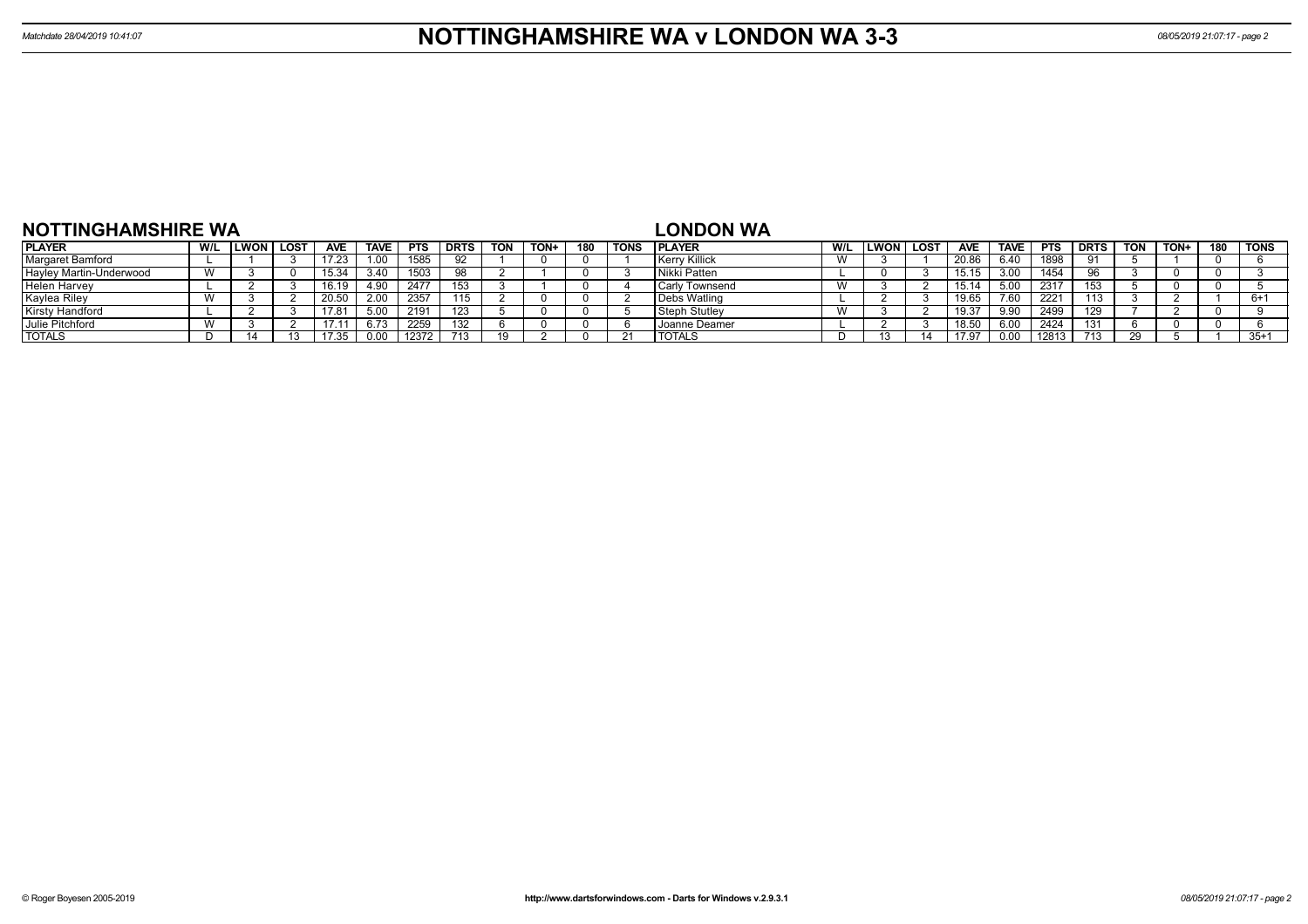| NOTTINGHAMSHIRE WA      |     |      |      |               |      |       |      |            |      |     |      | <b>LONDON WA</b>     |     |              |      |            |             |            |      |            |      |     |             |
|-------------------------|-----|------|------|---------------|------|-------|------|------------|------|-----|------|----------------------|-----|--------------|------|------------|-------------|------------|------|------------|------|-----|-------------|
| <b>PLAYER</b>           | W/L | LWON | LOST | <b>AVE</b>    | TAVE | PTS   | DRTS | <b>TON</b> | TON+ | 180 | TONS | <b>PLAYER</b>        | W/L | <b>ILWON</b> | LOST | <b>AVE</b> | <b>TAVE</b> | <b>PTS</b> | DRTS | <b>TON</b> | TON+ | 180 | <b>TONS</b> |
| Margaret Bamford        |     |      |      | 17.23         | 1.00 | 1585  |      |            |      |     |      | <b>Kerry Killick</b> |     |              |      | 20.86      | 6.40        | 1898       |      |            |      |     |             |
| Hayley Martin-Underwood |     |      |      | 15.34         | 3.40 | 1503  |      |            |      |     |      | Nikki Patten         |     |              |      |            | 3.00        | 1454       |      |            |      |     |             |
| <b>Helen Harvey</b>     |     |      |      |               | 490  | 247   | 153  |            |      |     |      | l Carlv Townsend     |     |              |      | 15.14      | 5.00        | 2317       | 153  |            |      |     |             |
| Kaylea Riley            |     |      |      | 20.50         | 2.00 | 2357  | 115  |            |      |     |      | Debs Watling         |     |              |      | 19.65      | 7.60        | 2221       | 113  |            |      |     | $6+$        |
| <b>Kirsty Handford</b>  |     |      |      | $7.8^{\circ}$ | 5.00 | 2191  | 123  |            |      |     |      | Steph Stutley        |     |              |      |            | 9.90        | 2499       | 129  |            |      |     |             |
| Julie Pitchford         |     |      |      | $\sqrt{1}$    | 6.73 | 2259  | 132  |            |      |     |      | , Joanne Deamer      |     |              |      | 18.5       | 6.00        | 2424       | 131  |            |      |     |             |
| <b>TOTALS</b>           |     |      |      |               | 0.00 | 12372 |      | 10.        |      |     |      | <b>'TOTALS</b>       |     |              |      |            | 0.00        | 1281       |      |            |      |     | $35+1$      |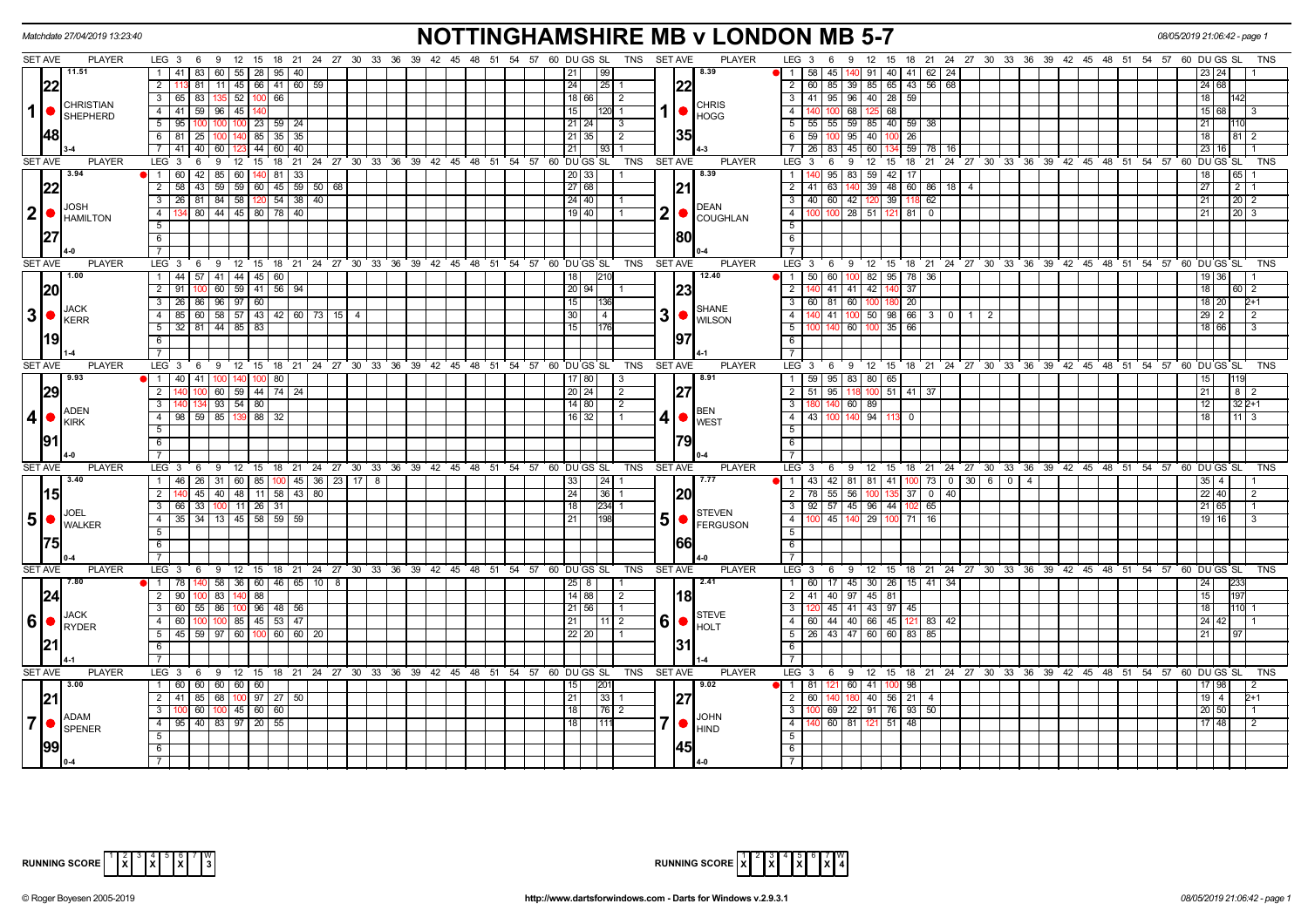|                | Matchdate 27/04/2019 13:23:40                             |                                                                                    | <b>NOTTINGHAMSHIRE MB v LONDON MB 5-7</b>                                                                     |                                                                                       | 08/05/2019 21:06:42 - page 1                                        |
|----------------|-----------------------------------------------------------|------------------------------------------------------------------------------------|---------------------------------------------------------------------------------------------------------------|---------------------------------------------------------------------------------------|---------------------------------------------------------------------|
|                | <b>SET AVE</b><br><b>PLAYER</b>                           |                                                                                    | LEG 3 6 9 12 15 18 21 24 27 30 33 36 39 42 45 48 51 54 57 60 DUGS SL TNS SETAVE<br><b>PLAYER</b>              | LEG 3 6 9 12 15 18 21 24 27 30 33 36 39 42 45 48 51 54 57 60 DUGS SL                  | TNS                                                                 |
|                | 11.51                                                     | 1   41   83   60   55   28   95   40                                               | 99 <br>8.39<br>21                                                                                             | 1   58   45   140   91   40   41   62   24                                            |                                                                     |
|                | 22                                                        | 113 81   11   45   66   41   60   59  <br>$\overline{2}$                           | 24 <br> 25 1<br> 22                                                                                           | 2 60 85 39 85 65 43 56 68                                                             | 24 68                                                               |
|                | <b>CHRISTIAN</b>                                          | 3   65   83   135   52   100   66                                                  | 18 66 <br>$\overline{2}$<br><b>CHRIS</b>                                                                      | $3$   41   95   96   40   28   59                                                     | 18<br>1142                                                          |
|                | 1   ●<br><b>SHEPHERD</b>                                  | 4 41 59 96 45 140                                                                  | 15 I<br>$1120$ 1<br><b>HOGG</b>                                                                               | $4 \mid 140$<br>100 68 125 68                                                         | 15 68<br>- 13                                                       |
|                |                                                           | $5$   95   100   100   100   23   59   24                                          | $\vert$ 3                                                                                                     | $5 \mid 55 \mid 55 \mid 59 \mid 85 \mid 40 \mid 59 \mid 38$                           | 21<br>110                                                           |
|                | 48                                                        | 6 81 25 100 140 85 35 35                                                           | 35 <br>$\overline{2}$<br>21 35                                                                                | $6 \mid 59 \mid$<br>$100$ 95 40<br>$100$ 26                                           | 18<br>812                                                           |
|                |                                                           | 7 41 40 60 123 44 60 40                                                            | 21 <br>l 93 l                                                                                                 | 7 26 83 45 60<br>134 59 78 16                                                         | 23<br>16 I                                                          |
|                | <b>SET AVE</b><br><b>PLAYER</b>                           | LEG 3<br>6 9 12 15 18 21 24 27 30 33 36 39 42 45 48 51 54 57 60 DUGS SL            | TNS<br><b>SET AVE</b><br><b>PLAYER</b>                                                                        | LEG <sub>3</sub><br>9 12 15 18 21 24 27 30 33 36 39 42 45 48 51 54 57 60 DUGS SL<br>6 | <b>TNS</b>                                                          |
|                | 3.94                                                      | 1 60 42 85 60 140 81 33                                                            | 8.39<br>20 33                                                                                                 | $95 \mid 83 \mid 59 \mid 42 \mid 17 \mid$<br>$1$ 1                                    | 65<br>18                                                            |
|                | 22                                                        | $2$ 58 43 59 59 60 45 59 50 68                                                     | 27 68<br> 21                                                                                                  | 63 140 39 48 60 86 18 4<br>$2 \mid 41 \mid$                                           | 27<br>$\begin{array}{c c c c c} \hline 2 & 1 \\ \hline \end{array}$ |
|                |                                                           | $3 \mid 26 \mid 81 \mid 84 \mid 58 \mid 120 \mid 54 \mid 38 \mid 40 \mid$          | $24$ 40                                                                                                       | 3 40 60 42 120 39 118 62                                                              | 21<br>$\vert$ 20 $\vert$ 2                                          |
|                | <b>JOSH</b><br>$2  \bullet$<br><b>HAMILTON</b>            | 134 80 44 45 80 78 40<br>4                                                         | <b>DEAN</b><br>$\mathbf{2}$<br>19 40<br><b>COUGHLAN</b>                                                       | $100$ 28 51 121 81 0<br>4   1                                                         | 21<br>20 3                                                          |
|                |                                                           | 5                                                                                  |                                                                                                               | 5 <sup>5</sup>                                                                        |                                                                     |
|                |                                                           | 6                                                                                  | 180                                                                                                           | 6                                                                                     |                                                                     |
|                |                                                           | $\overline{7}$                                                                     |                                                                                                               | 7 <sup>1</sup>                                                                        |                                                                     |
|                | <b>SET AVE</b><br><b>PLAYER</b>                           | LEG <sup>3</sup><br>69                                                             | 12 15 18 21 24 27 30 33 36 39 42 45 48 51 54 57 60 DUGS SL<br>TNS<br><b>SET AVE</b><br><b>PLAYER</b>          | LEG <sup>3</sup><br>9 12 15 18 21 24 27 30 33 36 39 42 45 48 51 54 57 60 DUGSSL<br>6  | TNS                                                                 |
|                | 1.00                                                      | 1 44 57 41 44 45 60                                                                | 210<br>12.40<br>18                                                                                            | 60   100   82   95   78   36  <br>$1 \overline{50}$                                   | 19 36                                                               |
|                | <b>20</b>                                                 | $2$   91   100   60   59   41   56   94                                            | 20   94  <br> 23                                                                                              | $2^{\circ}$<br>41 41 42<br>140 37                                                     | 18<br>60 2                                                          |
|                |                                                           | 3   26   86   96   97   60                                                         | 15<br>136                                                                                                     | 3   60<br>81 60 100<br>180 20                                                         | 18 20<br>$2+1$                                                      |
|                | <b>JACK</b><br>$3  \bullet  _{\text{KERR}}^{\text{JACK}}$ | 85 60 58 57 43 42 60 73 15<br>$-4$<br>$\overline{4}$                               | <b>SHANE</b><br>3 <sup>1</sup><br>$\overline{4}$<br>30 <sup>1</sup>                                           | 41   100   50   98   66   3   0  <br>4<br>$1 \mid 2$                                  | 29<br>$\overline{2}$<br>2                                           |
|                |                                                           | $5 \mid 32 \mid 81 \mid 44 \mid 85 \mid 83$                                        | <b>WILSON</b><br>l 15 l<br>1176                                                                               | 5 <sup>1</sup><br>$35 \mid 66$<br>140<br>60 100                                       | 18 66<br>-3                                                         |
|                | 1191                                                      | 6                                                                                  | 197                                                                                                           | $6\overline{6}$                                                                       |                                                                     |
|                |                                                           | 7 <sup>7</sup>                                                                     |                                                                                                               | 7 I                                                                                   |                                                                     |
|                | <b>SET AVE</b><br><b>PLAYER</b>                           | $LEG_36$                                                                           | <b>SET AVE</b><br><b>PLAYER</b><br>9 12 15 18 21 24 27 30 33 36 39 42 45 48 51 54 57 60 DUGS SL<br><b>TNS</b> | LEG <sub>3</sub><br>6 9 12 15 18 21 24 27 30 33 36 39 42 45 48 51 54 57 60 DUGSSL     | <b>TNS</b>                                                          |
|                | 9.93                                                      | <b>1</b> 1 40 41 100<br>140 100 80                                                 | 17 80<br>8.91<br>-3                                                                                           | 95 83 80 65<br>1   59                                                                 |                                                                     |
|                | 29                                                        | 140 100 60 59 44 74 24<br>$\overline{2}$                                           | 20 24 <br>127<br>$\vert 2 \vert$                                                                              | 2   51  <br>95 118 100<br>$51$ 41 37                                                  | 21<br>$8 \mid 2$                                                    |
|                |                                                           | 140 134 93 54 80<br>$\overline{\mathbf{3}}$                                        | 14 80 <br>$\overline{2}$                                                                                      | 3<br>140<br>60 89                                                                     | $\overline{12}$<br>$322+1$                                          |
|                | <b>ADEN</b><br>4 ●<br><b>IKIRK</b>                        | 4   98   59   85   139   88   32                                                   | <b>BEN</b><br>$16$ 32<br>41<br>$\vert$ 1<br><b>WEST</b>                                                       | $4 \mid 43 \mid$<br>100 140 94<br>113 0                                               | 18<br>$11 \mid 3$                                                   |
|                |                                                           | $\overline{5}$                                                                     |                                                                                                               | $\overline{5}$                                                                        |                                                                     |
|                | 91                                                        | $\overline{6}$                                                                     | 1791                                                                                                          | 6                                                                                     |                                                                     |
|                |                                                           | $\overline{7}$                                                                     |                                                                                                               | $\overline{7}$                                                                        |                                                                     |
|                | SET AVE<br><b>PLAYER</b>                                  | LEG <sub>3</sub><br>6 9 12 15 18 21 24 27 30 33 36 39 42 45 48 51 54 57 60 DUGS SL | <b>SET AVE</b><br><b>PLAYER</b><br>TNS                                                                        | 6 9 12 15 18 21 24 27 30 33 36 39 42 45 48 51 54 57 60 DUGS SL<br>LEG <sub>3</sub>    | <b>TNS</b>                                                          |
|                | 3.40                                                      | 1 46 26 31 60 85 100 45 36 23 17 8                                                 | 7.77<br>33                                                                                                    | 1 43 42 81 81 41 100 73 0 30 6 0 4                                                    | $35 \mid 4 \mid$                                                    |
|                | 15                                                        | $\overline{2}$<br>140 45 40 48 11 58 43 80                                         | 20<br>24<br>$36$   1                                                                                          | $2 \mid 78$<br>55 56 100<br>$135 \ 37 \ 0 \ 40$                                       | 22<br>40<br>2                                                       |
|                |                                                           | 3 66 33 100 11 26 31                                                               | $234$ 1<br>18                                                                                                 | 3   92   57   45   96   44   102   65                                                 | 21 65                                                               |
| 5 <sub>l</sub> | JOEL<br>●<br><b>WALKER</b>                                | 4 35 34 13 45 58 59 59                                                             | <b>STEVEN</b><br>5<br>1198<br>21<br><b>FERGUSON</b>                                                           | 4 100 45 140 29 100 71 16                                                             | 19 16                                                               |
|                |                                                           | 5                                                                                  |                                                                                                               | 5                                                                                     |                                                                     |
|                |                                                           | 6                                                                                  | 66                                                                                                            | 6                                                                                     |                                                                     |
|                |                                                           | $\overline{7}$                                                                     |                                                                                                               | $\overline{7}$                                                                        |                                                                     |
|                | <b>SET AVE</b><br><b>PLAYER</b>                           | LEG 3 6 9                                                                          | 12 15 18 21 24 27 30 33 36 39 42 45 48 51 54 57 60 DUGSSL<br>TNS<br><b>SET AVE</b><br><b>PLAYER</b>           | LEG 3<br>6 9 12 15 18 21 24 27 30 33 36 39 42 45 48 51 54 57 60 DUGS SL               | <b>TNS</b>                                                          |
|                | 17.80                                                     | 1   78   140   58   36   60   46   65   10   8                                     | 2.41<br>$25$   8                                                                                              | 1 60 17 45 30 26 15 41 34                                                             | $\overline{24}$<br>233                                              |
|                | 24                                                        | 2 90 100 83 140 88                                                                 | 18 <br>  14   88  <br>$\sqrt{2}$                                                                              | 40 97 45 81<br>$2 \mid 41 \mid$                                                       | 15<br>197                                                           |
|                |                                                           | 3   60   55   86   100   96   48   56                                              | 21   56<br>l 1                                                                                                | 45 41 43 97 45<br>$3 \mid 120$                                                        | 18<br>$110$ 1                                                       |
| 6              | <b>JACK</b><br>$\bigcap_{RYDER}$                          | 60 100 100 85 45 53 47<br>$\overline{4}$                                           | <b>STEVE</b><br>6 <sub>1</sub><br>211<br>11 2<br><b>HOLT</b>                                                  | 4 60 44 40 66 45 121 83 42                                                            | 24                                                                  |
|                |                                                           | $5   45   59   97   60   100   60   60   20$                                       | 22   20                                                                                                       | 43 47 60 60 83 85<br>$5 \mid 26 \mid$                                                 |                                                                     |
|                | 21                                                        | 6                                                                                  | 131                                                                                                           | 6                                                                                     |                                                                     |
|                |                                                           | $\overline{7}$                                                                     |                                                                                                               | $7\phantom{.0}$                                                                       |                                                                     |
|                | <b>SET AVE</b><br><b>PLAYER</b>                           | LEG 3 6 9 12 15 18 21 24 27 30 33 36 39 42 45 48 51 54 57 60 DUGS SL               | <b>PLAYER</b><br>TNS<br><b>SET AVE</b>                                                                        | LEG <sup>3</sup><br>6 9 12 15 18 21 24 27 30 33 36 39 42 45 48 51 54 57 60 DUGSSL     | <b>TNS</b>                                                          |
|                | 3.00                                                      | 1 60 60 60 60 60                                                                   | 9.02<br>201                                                                                                   | 121 60 41<br>1   81<br>100 98                                                         | 17 98                                                               |
|                | 21                                                        | 2 41 85 68 100 97 27 50                                                            | 33 1<br>127<br>21                                                                                             | 2   60  <br>$140$ 56 21 4<br>140   180                                                | 19<br>$\overline{4}$<br>2+1                                         |
|                |                                                           | $\overline{\mathbf{3}}$<br>60 100 45 60 60                                         | l 18 l                                                                                                        | $\overline{3}$<br>69 22 91 76 93 50                                                   | 20 50                                                               |
|                | ADAM<br>7 ●<br>SPENER                                     | 4 95 40 83 97 20 55                                                                | <b>JOHN</b><br>111<br>18<br><b>HIND</b>                                                                       | 60 81 121 51 48<br>4                                                                  | 17 48<br>$\mathcal{P}$                                              |
|                |                                                           | 5                                                                                  |                                                                                                               | 5                                                                                     |                                                                     |
|                | 99                                                        | 6                                                                                  |                                                                                                               | 6                                                                                     |                                                                     |
|                |                                                           | $\overline{7}$                                                                     |                                                                                                               | 7                                                                                     |                                                                     |



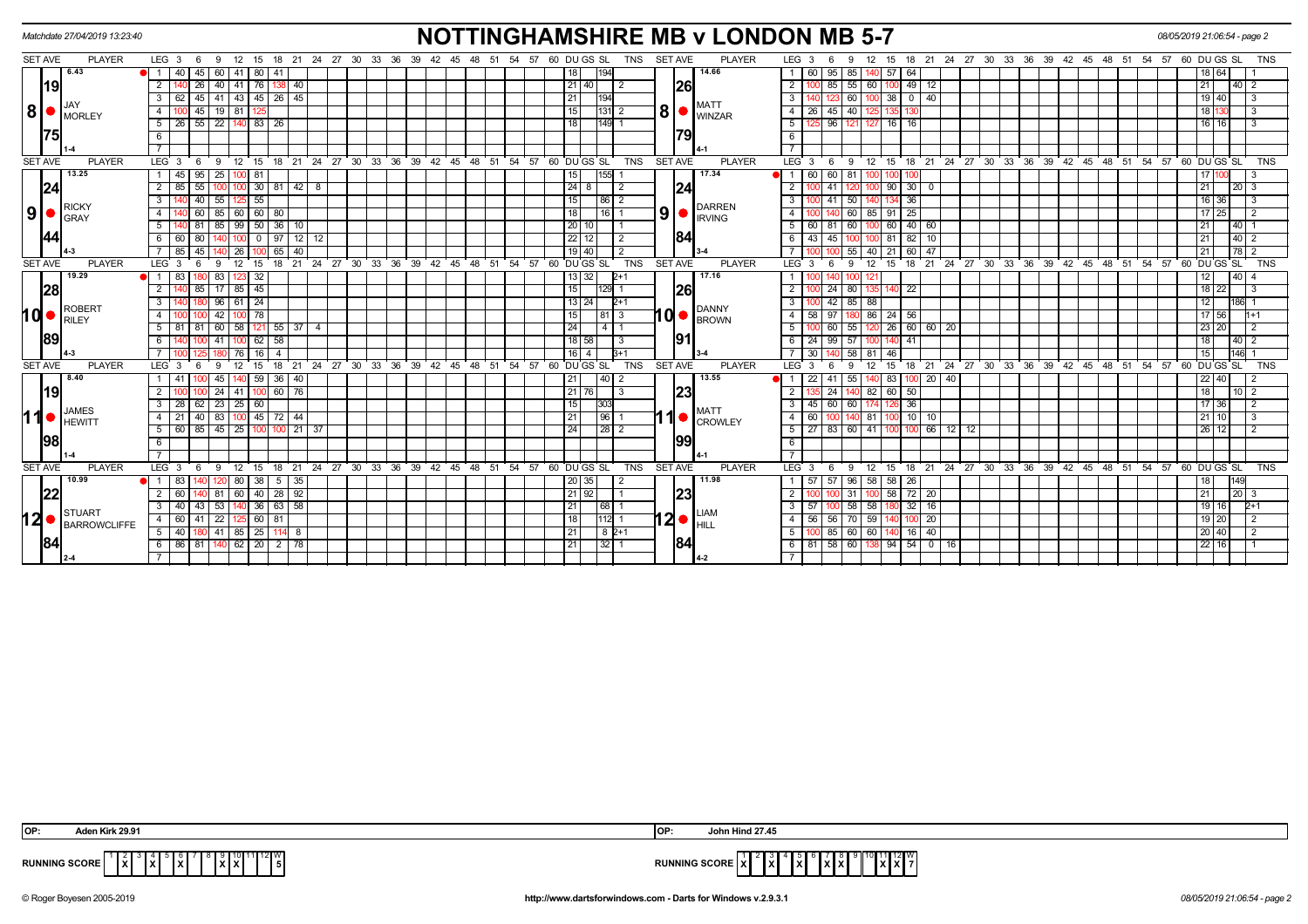|                |         | Matchdate 27/04/2019 13:23:40                                           |                                               |                |                   |                 |                  |                         |    |                      |                                                            |  |  |                  |          |  |                 |                     |            |                |                | <b>NOTTINGHAMSHIRE MB v LONDON MB 5-7</b>                 |                         |        |                     |                                           |                         |                 |               |         |  |  |                                                                       |  |    |    | 08/05/2019 21:06:54 - page 2 |              |      |                         |            |
|----------------|---------|-------------------------------------------------------------------------|-----------------------------------------------|----------------|-------------------|-----------------|------------------|-------------------------|----|----------------------|------------------------------------------------------------|--|--|------------------|----------|--|-----------------|---------------------|------------|----------------|----------------|-----------------------------------------------------------|-------------------------|--------|---------------------|-------------------------------------------|-------------------------|-----------------|---------------|---------|--|--|-----------------------------------------------------------------------|--|----|----|------------------------------|--------------|------|-------------------------|------------|
| SET AVE        |         | <b>PLAYER</b>                                                           | $LEG_36$                                      |                | - 9               |                 |                  |                         |    |                      | 12 15 18 21 24 27 30 33 36 39 42 45 48 51 54 57 60 DUGS SL |  |  |                  |          |  |                 |                     | <b>TNS</b> | <b>SET AVE</b> |                | <b>PLAYER</b>                                             | LEG <sub>3</sub>        |        | -6                  |                                           | 15                      |                 |               |         |  |  | 18  21  24  27  30  33  36  39  42  45  48  51  54  57  60  DU GS  SL |  |    |    |                              |              |      |                         | <b>TNS</b> |
|                |         | 6.43                                                                    |                                               | 40             | $45 \mid 60 \mid$ |                 |                  | 41   80   41            |    |                      |                                                            |  |  |                  |          |  |                 |                     |            |                |                | 14.66                                                     |                         | 60     | 95                  | 85                                        | 40 57                   | 64              |               |         |  |  |                                                                       |  |    |    |                              | 64           |      |                         |            |
|                | 19      |                                                                         | 2                                             |                | 26                | 40              | 41   76          | 138                     | 40 |                      |                                                            |  |  |                  |          |  | 21 40           |                     | -2         |                | 26             |                                                           | $\overline{2}$          |        |                     | 55<br>60                                  |                         |                 | $49$   12     |         |  |  |                                                                       |  |    |    |                              |              |      | 40   2                  |            |
|                |         |                                                                         | $\mathbf{3}$                                  |                |                   |                 |                  | 45 41 43 45 26 45       |    |                      |                                                            |  |  |                  |          |  |                 | 194                 |            |                |                | <b>MATT</b>                                               | $\mathbf{3}$            |        |                     | 60 I                                      | 100 38                  |                 |               |         |  |  |                                                                       |  |    |    |                              | $19$ 40      |      | $\mathbf{3}$            |            |
|                |         | $\mathbf{8}$ $\bullet$ $\mathbf{S}$ $\bullet$ $\mathbf{S}$ $\mathbf{S}$ | 4                                             |                | 45                | 19   81         |                  |                         |    |                      |                                                            |  |  |                  |          |  | 15 <sup>1</sup> | $ 131 $ 2           |            | 8 <sup>1</sup> |                | <b>WINZAR</b>                                             | $\overline{4}$          | 26     | 45                  | 40                                        |                         |                 |               |         |  |  |                                                                       |  |    |    |                              |              |      | 3                       |            |
|                |         |                                                                         | $\overline{5}$   26   55   22   140   83   26 |                |                   |                 |                  |                         |    |                      |                                                            |  |  |                  |          |  | 18 I            | $149$ 1             |            |                |                |                                                           | 5                       |        |                     | 96 121 127 16 16                          |                         |                 |               |         |  |  |                                                                       |  |    |    |                              | 16   16      |      | -3                      |            |
|                | 1751    |                                                                         | 6                                             |                |                   |                 |                  |                         |    |                      |                                                            |  |  |                  |          |  |                 |                     |            |                |                |                                                           | 6                       |        |                     |                                           |                         |                 |               |         |  |  |                                                                       |  |    |    |                              |              |      |                         |            |
|                |         |                                                                         |                                               |                |                   |                 |                  |                         |    |                      |                                                            |  |  |                  |          |  |                 |                     |            |                |                |                                                           |                         |        |                     |                                           |                         |                 |               |         |  |  |                                                                       |  |    |    |                              |              |      |                         |            |
| <b>SET AVE</b> |         | <b>PLAYER</b>                                                           | LEG <sub>3</sub>                              | - 6            | - 9               |                 |                  |                         |    |                      | 12 15 18 21 24 27 30 33 36 39                              |  |  | $42 \t 45 \t 48$ |          |  |                 | 51 54 57 60 DUGS SL | <b>TNS</b> |                | <b>SET AVE</b> | <b>PLAYER</b>                                             | LEG <sup>3</sup>        |        | <sup>9</sup><br>- 6 |                                           |                         |                 |               |         |  |  | 12 15 18 21 24 27 30 33 36 39 42 45 48 51 54 57 60 DUGS SL            |  |    |    |                              |              |      |                         | <b>TNS</b> |
|                |         | 13.25                                                                   | 1   45                                        |                | $95 \mid 25$      |                 | 81               |                         |    |                      |                                                            |  |  |                  |          |  | 15              | 155                 |            |                |                | 17.34                                                     | O 11                    | 60     | $60$   81           |                                           |                         |                 |               |         |  |  |                                                                       |  |    |    |                              |              |      |                         |            |
|                | 24      |                                                                         | $\overline{2}$                                | 85             | 55                | 100             |                  |                         |    | 0 30 81 42 8         |                                                            |  |  |                  |          |  | $24$ 8          |                     | -2         |                | 124            |                                                           | $\overline{2}$          |        |                     |                                           |                         |                 | $90$ 30 0     |         |  |  |                                                                       |  |    |    |                              | 21           |      | $20 \mid 3$             |            |
|                |         | <b>RICKY</b>                                                            | 3                                             |                | 55<br>40          |                 |                  | 55                      |    |                      |                                                            |  |  |                  |          |  | 15              | 86                  |            |                |                | <b>DARREN</b>                                             | $\overline{\mathbf{3}}$ |        | 41                  | 50                                        |                         | 36              |               |         |  |  |                                                                       |  |    |    |                              | 36           |      |                         |            |
| 9 <sup>1</sup> |         | <b>GRAY</b>                                                             | 4 <sup>1</sup>                                |                |                   |                 |                  | 60 85 60 60 80          |    |                      |                                                            |  |  |                  |          |  | 18              | $16$   1            |            | 9 <sub>1</sub> |                | <b>IRVING</b>                                             | 4                       |        |                     | 60 85 91                                  |                         | 25              |               |         |  |  |                                                                       |  |    |    |                              | 25<br>17     |      | $\overline{2}$          |            |
|                |         |                                                                         | 5 <sup>5</sup>                                |                | 85                |                 |                  | $99$ 50 $36$            | 10 |                      |                                                            |  |  |                  |          |  | 20 10           |                     |            |                |                |                                                           | 5 <sup>5</sup>          | -60 I  |                     | 60                                        | 00 60                   |                 | 40 60         |         |  |  |                                                                       |  |    |    |                              |              | 40   |                         |            |
|                | 44      |                                                                         | 6 60 80                                       |                |                   |                 |                  | $0$   97                |    | $12$ 12              |                                                            |  |  |                  |          |  | $22$   12       |                     |            |                | 184            |                                                           | - 6 I                   |        | 43 45 100           |                                           | 100 81                  |                 | 82   10       |         |  |  |                                                                       |  |    |    |                              | 21           |      |                         |            |
|                |         |                                                                         |                                               |                |                   | 26 I            |                  | 65                      | 40 |                      |                                                            |  |  |                  |          |  | $19$   40       |                     |            |                |                |                                                           |                         |        |                     | 55                                        | 40 21                   |                 | 60   47       |         |  |  |                                                                       |  |    |    |                              | 21           | 78   |                         |            |
|                | SET AVE | <b>PLAYER</b>                                                           | LEG <sub>3</sub>                              |                |                   | 12 <sup>°</sup> | - 15             | 18                      |    |                      | 21 24 27 30 33 36 39 42 45 48 51 54 57 60 DUGS SL          |  |  |                  |          |  |                 |                     | <b>TNS</b> |                | <b>SET AVE</b> | <b>PLAYER</b>                                             | LEG 3                   |        |                     | 12                                        | 15                      |                 |               |         |  |  | 18 21 24 27 30 33 36 39 42 45 48 51 54 57 60 DUGS SL                  |  |    |    |                              |              |      |                         | <b>TNS</b> |
|                |         | 19.29                                                                   |                                               | 83             | 80 83             |                 | $123$ 32         |                         |    |                      |                                                            |  |  |                  |          |  | 13 32           |                     | $2+1$      |                |                | 17.16                                                     |                         |        |                     |                                           |                         |                 |               |         |  |  |                                                                       |  |    |    |                              | 12           | 40   |                         |            |
|                | 28      |                                                                         | $\overline{2}$                                |                |                   | 85 17 85 45     |                  |                         |    |                      |                                                            |  |  |                  |          |  | 15              | 129                 |            |                | 26             |                                                           | $\overline{2}$          |        | 24                  | 80                                        | 135 <sup>1</sup><br>140 | $\overline{22}$ |               |         |  |  |                                                                       |  |    |    |                              | $18$ 22      |      | $\overline{\mathbf{3}}$ |            |
|                |         | ROBERT                                                                  | $\overline{3}$                                |                | $30 \t96$         |                 | 61   24          |                         |    |                      |                                                            |  |  |                  |          |  | 13 24           |                     | $2+1$      |                |                | <b>DANNY</b>                                              | 3                       |        |                     | 42 85 88                                  |                         |                 |               |         |  |  |                                                                       |  |    |    |                              |              |      |                         |            |
| $10 -$         |         | <b>RILEY</b>                                                            | $\overline{4}$                                |                |                   | 42              | 78               |                         |    |                      |                                                            |  |  |                  |          |  | 15              | 181 I 3             |            |                |                | $10o$ BROWN                                               | $\overline{4}$          | 58     | 97                  |                                           | 86 24                   | 56              |               |         |  |  |                                                                       |  |    |    |                              | 56<br>17     |      | $1 + 1$                 |            |
|                |         |                                                                         | 5   81                                        |                |                   |                 |                  |                         |    | 81 60 58 121 55 37 4 |                                                            |  |  |                  |          |  | 24              | $\overline{4}$      |            |                |                |                                                           | 51                      |        |                     | $\overline{100}$ 60 55 120 26 60 60 20    |                         |                 |               |         |  |  |                                                                       |  |    |    |                              | 23 20        |      |                         |            |
|                | 89      |                                                                         | 6                                             |                | 41                |                 |                  | $62 \mid 58$            |    |                      |                                                            |  |  |                  |          |  | 18   58         |                     | -3         |                | 91             |                                                           | 6                       | 24     | 99                  | 57                                        | 140<br>100 I            | 41              |               |         |  |  |                                                                       |  |    |    |                              | 18           |      | $40 \mid 2$             |            |
|                |         |                                                                         |                                               |                |                   |                 | 76   16          | $\overline{4}$          |    |                      |                                                            |  |  |                  |          |  | 16 I 4 I        |                     | $B+1$      |                |                |                                                           |                         | 30 140 |                     | 58 81 46                                  |                         |                 |               |         |  |  |                                                                       |  |    |    |                              | 15           | 146  |                         |            |
| <b>SET AVE</b> |         | <b>PLAYER</b>                                                           | LEG <sub>3</sub>                              |                | - 9               | 12              | 15               | 18                      | 21 |                      | 24 27 30 33 36 39                                          |  |  | 42 45 48         | 51 54 57 |  |                 | 60 DU GS SL         | <b>TNS</b> |                | <b>SET AVE</b> | <b>PLAYER</b>                                             | LEG <sub>3</sub>        |        |                     | -9<br>12                                  | 15                      |                 |               |         |  |  | 18 21 24 27 30 33 36 39 42 45 48 51                                   |  | 54 | 57 | 60 DU GS SL                  |              |      |                         | <b>TNS</b> |
|                |         | 8.40                                                                    |                                               |                |                   | 45              |                  | 59   36                 | 40 |                      |                                                            |  |  |                  |          |  |                 | 40                  | -2         |                |                | 13.55                                                     |                         | 22     | 41                  | -55                                       | 40 83                   |                 | $100$ 20   40 |         |  |  |                                                                       |  |    |    |                              | 40<br>22     |      |                         |            |
|                | 19      |                                                                         | $\overline{2}$                                |                | $^{24}$           |                 |                  | 41   100   60   76      |    |                      |                                                            |  |  |                  |          |  | 21 76           |                     | 3          |                | 23             |                                                           | $\overline{2}$          |        | 24                  |                                           |                         | $82 \ 60 \ 50$  |               |         |  |  |                                                                       |  |    |    |                              | 18           |      | $10$   2                |            |
|                |         | <b>JAMES</b>                                                            | 3 I                                           | 28 62 23 25 60 |                   |                 |                  |                         |    |                      |                                                            |  |  |                  |          |  | l 15 l          | 303                 |            |                |                | <b>MATT</b>                                               | $\overline{3}$          |        |                     | 45 60 60 174 126                          |                         | 36              |               |         |  |  |                                                                       |  |    |    |                              | 17 36        |      | $\overline{2}$          |            |
|                |         |                                                                         | 4 21                                          |                | $40 \mid 83$      |                 |                  | $100$ 45 72 44          |    |                      |                                                            |  |  |                  |          |  | 21              | $196$ 1             |            |                |                | <b>CROWLEY</b>                                            | $\overline{4}$          | 60     |                     |                                           |                         |                 | 81 100 10 10  |         |  |  |                                                                       |  |    |    |                              | 21<br>10     |      | $\mathcal{R}$           |            |
|                |         |                                                                         | $5   60   85   45   25   100   100   21   37$ |                |                   |                 |                  |                         |    |                      |                                                            |  |  |                  |          |  | 24              |                     |            |                |                |                                                           | $5 \mid 27$             |        |                     | 83 60 41                                  |                         |                 | $100$ 66      | $12$ 12 |  |  |                                                                       |  |    |    |                              | 26 12        |      |                         |            |
|                | 98      |                                                                         | 6                                             |                |                   |                 |                  |                         |    |                      |                                                            |  |  |                  |          |  |                 |                     |            |                | 99             |                                                           | 6                       |        |                     |                                           |                         |                 |               |         |  |  |                                                                       |  |    |    |                              |              |      |                         |            |
| <b>SET AVE</b> |         |                                                                         | $\overline{7}$                                |                |                   |                 |                  |                         |    |                      |                                                            |  |  |                  |          |  |                 |                     |            |                | SET AVE        |                                                           | $\overline{7}$          |        |                     |                                           |                         |                 |               |         |  |  |                                                                       |  |    |    |                              |              |      |                         | <b>TNS</b> |
|                |         | <b>PLAYER</b><br>10.99                                                  | LEG <sub>3</sub>                              | - 6            | - 9               |                 | 12 15<br>80   38 |                         |    |                      | 18 21 24 27 30 33 36 39 42 45 48 51 54 57 60 DUGS SL       |  |  |                  |          |  | 20 35           |                     | TNS        |                |                | <b>PLAYER</b><br>11.98                                    | LEG <sup>3</sup>        |        | - 9<br>-6<br>57     | $12 \overline{ }$<br>  96                 | 58 58                   |                 |               |         |  |  | 15 18 21 24 27 30 33 36 39 42 45 48 51 54 57 60 DUGS SL               |  |    |    |                              |              | 149  |                         |            |
|                | 22      |                                                                         | $\overline{2}$                                | 60             |                   |                 |                  | 5<br>140 81 60 40 28 92 | 35 |                      |                                                            |  |  |                  |          |  | 21 92           |                     |            |                | 23             |                                                           | 2 <sup>1</sup>          |        |                     | 31 100 58 72 20                           |                         | 26              |               |         |  |  |                                                                       |  |    |    |                              | 21           | 20 3 |                         |            |
|                |         |                                                                         | 3                                             | 40             | 53<br>43 I        |                 |                  | 36 63 58                |    |                      |                                                            |  |  |                  |          |  | 21              | 68                  |            |                |                |                                                           | 3 I                     | 57     |                     | 58<br>58                                  |                         |                 | $32 \mid 16$  |         |  |  |                                                                       |  |    |    |                              | 19<br>16     |      | $2+1$                   |            |
| l2 ●           |         | STUART                                                                  | 4 60 41 22                                    |                |                   |                 |                  | $125$ 60   81           |    |                      |                                                            |  |  |                  |          |  | l 18 l          | 112 1               |            |                |                | <b>LIAM</b><br>$12 \bullet  _{\text{HILL}}^{\text{LIAN}}$ | 4 I                     |        |                     | 56   56   70   59                         |                         |                 | 20            |         |  |  |                                                                       |  |    |    |                              | $19$ 20      |      | $\overline{2}$          |            |
|                |         | BARROWCLIFFE                                                            | $5 \mid 40 \mid$                              |                |                   |                 |                  | 80 41 85 25 114         | 8  |                      |                                                            |  |  |                  |          |  | 21              | 8 2+1               |            |                |                |                                                           |                         |        |                     | 85 60 60                                  |                         |                 | $16$   $40$   |         |  |  |                                                                       |  |    |    |                              | 20 40        |      | 2                       |            |
|                | 84      |                                                                         | 6 86 81                                       |                |                   |                 |                  | 62   20   2   78        |    |                      |                                                            |  |  |                  |          |  | 21              | 32                  |            |                |                |                                                           |                         |        |                     | 6   81   58   60   138   94   54   0   16 |                         |                 |               |         |  |  |                                                                       |  |    |    |                              | $22 \mid 16$ |      |                         |            |
|                |         |                                                                         |                                               |                |                   |                 |                  |                         |    |                      |                                                            |  |  |                  |          |  |                 |                     |            |                |                |                                                           |                         |        |                     |                                           |                         |                 |               |         |  |  |                                                                       |  |    |    |                              |              |      |                         |            |
|                |         |                                                                         |                                               |                |                   |                 |                  |                         |    |                      |                                                            |  |  |                  |          |  |                 |                     |            |                |                |                                                           |                         |        |                     |                                           |                         |                 |               |         |  |  |                                                                       |  |    |    |                              |              |      |                         |            |

| OP:           | .                                               | loı | .                                                                          |
|---------------|-------------------------------------------------|-----|----------------------------------------------------------------------------|
| <b>DUMBER</b> | ַ ∟חטטר<br>.<br>. .<br>$\overline{\phantom{a}}$ | ᄝᆘ  | . . <i>.</i><br>$\sim$<br>$\sim$ - $\sim$ - $\sim$<br>.<br>8 A I<br>.<br>. |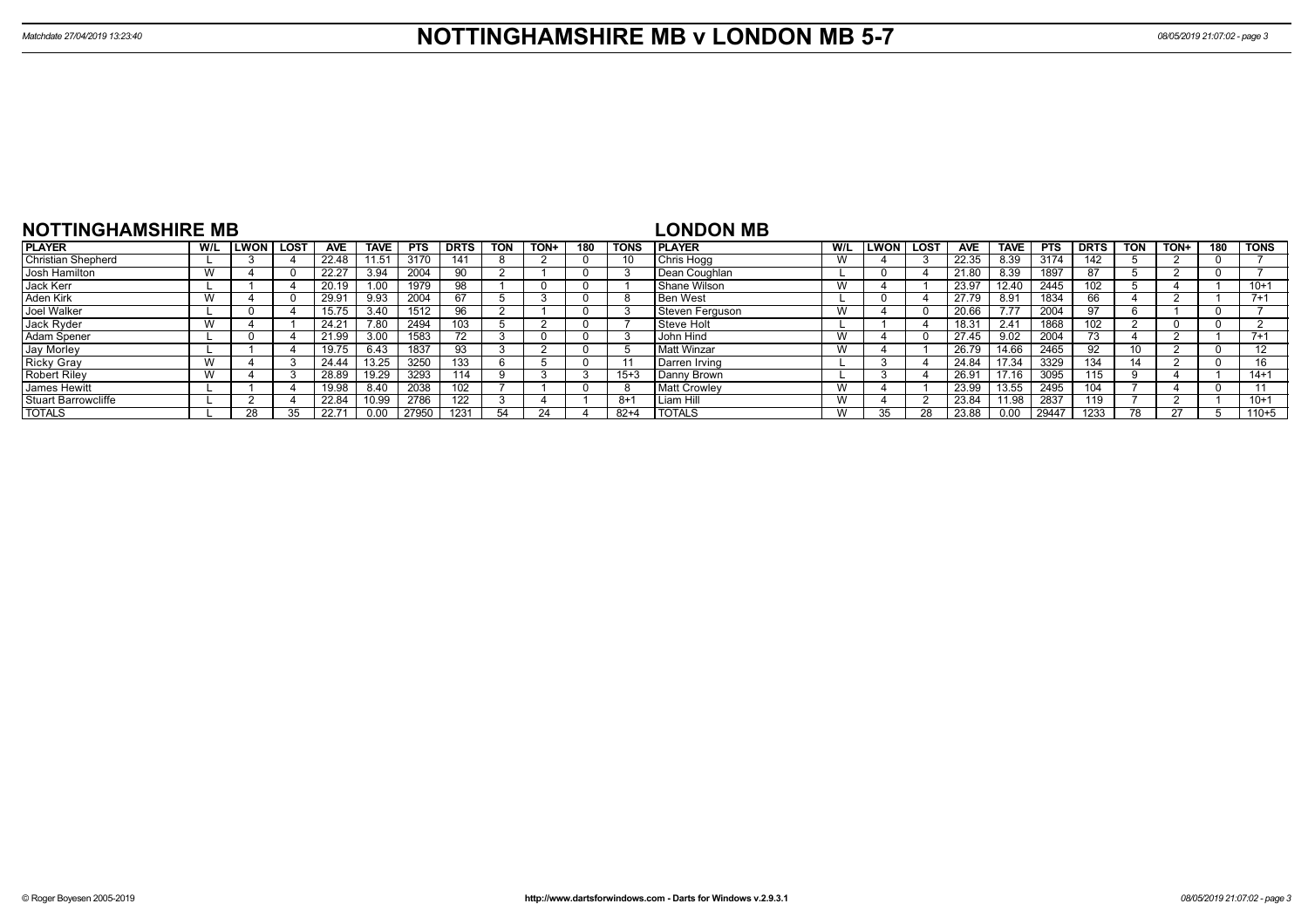| <b>NOTTINGHAMSHIRE MB</b>  |     |             |      |            |             |            |                 |            |             |     |             | <b>LONDON MB</b>    |     |      |             |            |             |            |             |            |      |     |             |
|----------------------------|-----|-------------|------|------------|-------------|------------|-----------------|------------|-------------|-----|-------------|---------------------|-----|------|-------------|------------|-------------|------------|-------------|------------|------|-----|-------------|
| <b>PLAYER</b>              | W/L | <b>LWON</b> | LOST | <b>AVE</b> | <b>TAVE</b> | <b>PTS</b> | <b>DRTS</b>     | <b>TON</b> | <b>TON+</b> | 180 | <b>TONS</b> | <b>IPLAYER</b>      | W/L | LWON | <b>LOST</b> | <b>AVE</b> | <b>TAVE</b> | <b>PTS</b> | <b>DRTS</b> | <b>TON</b> | TON+ | 180 | TONS        |
| <b>Christian Shepherd</b>  |     |             |      | 22.48      | 1.51        | 3170       | 14 <sup>°</sup> |            |             |     | 10          | Chris Hogg          | W   |      |             | 22.35      | 8.39        | 3174       | 142         |            |      |     |             |
| Josh Hamilton              |     |             |      | 22.27      | 3.94        | 2004       | 90              |            |             |     |             | Dean Coughlan       |     |      |             | 21.80      | 8.39        | 1897       |             |            |      |     |             |
| Jack Kerr                  |     |             |      | 20.19      |             | 1979       | 98              |            |             |     |             | Shane Wilson        | W   |      |             | 23.97      | 12.40       | 2445       | 102         |            |      |     | $10+1$      |
| Aden Kirk                  |     |             |      | 29.91      | 9.93        | 2004       | 67              |            |             |     | ŏ           | <b>Ben West</b>     |     |      |             | 27.79      | 8.91        | 1834       | 66          |            |      |     | $7 + 1$     |
| Joel Walker                |     |             |      | 15.75      | 3.40        | 1512       |                 |            |             |     |             | Steven Ferguson     | W   |      |             | 20.66      | 7.77        | 2004       |             |            |      |     |             |
| Jack Ryder                 |     |             |      | 24.21      | 7.80        | 2494       | 103             |            |             |     |             | Steve Holt          |     |      |             | 18.31      | 2.41        | 1868       | 102         |            |      |     |             |
| Adam Spener                |     |             |      | 21.99      | 3.00        | 1583       |                 |            |             |     |             | <b>John Hind</b>    | W   |      |             | 27.45      | 9.02        | 2004       | 73.         |            |      |     | $7 + 1$     |
| Jay Morley                 |     |             |      | 19.75      | 6.43        | 1837       | 93              |            |             |     |             | Matt Winzar         | W   |      |             | 26.79      | 14.66       | 2465       | 92          |            |      |     | $1^{\circ}$ |
| <b>Ricky Gray</b>          |     |             |      | 24.44      | 13.25       | 3250       | 133             |            |             |     |             | Darren Irving       |     |      |             | 24.84      | 17.34       | 3329       | 134         |            |      |     | 16          |
| <b>Robert Riley</b>        |     |             |      | 28.89      | 19.29       | 3293       | 114             |            |             |     | $15 + 3$    | Danny Brown         |     |      |             | 26.91      | 17.16       | 3095       | 115         |            |      |     | $14 + 1$    |
| <b>James Hewitt</b>        |     |             |      | 19.98      | 8.40        | 2038       | 102             |            |             |     | -8          | <b>Matt Crowlev</b> | W   |      |             | 23.99      | 13.55       | 2495       | 104         |            |      |     |             |
| <b>Stuart Barrowcliffe</b> |     |             |      | 22.84      | 10.99       | 2786       | 122             |            |             |     | -8+1        | l Liam Hill         | W   |      |             | 23.84      | 11.98       | 2837       | 119         |            |      |     | $10+1$      |
| <b>TOTALS</b>              |     | 28          |      | 22.71      | 0.00        | 27950      | 1231            |            |             |     | $82+4$      | <b>I TOTALS</b>     | W   |      | 28          | 23.88      | 0.00        | 29447      | 1233        | 78         | 27   |     | $110 + 5$   |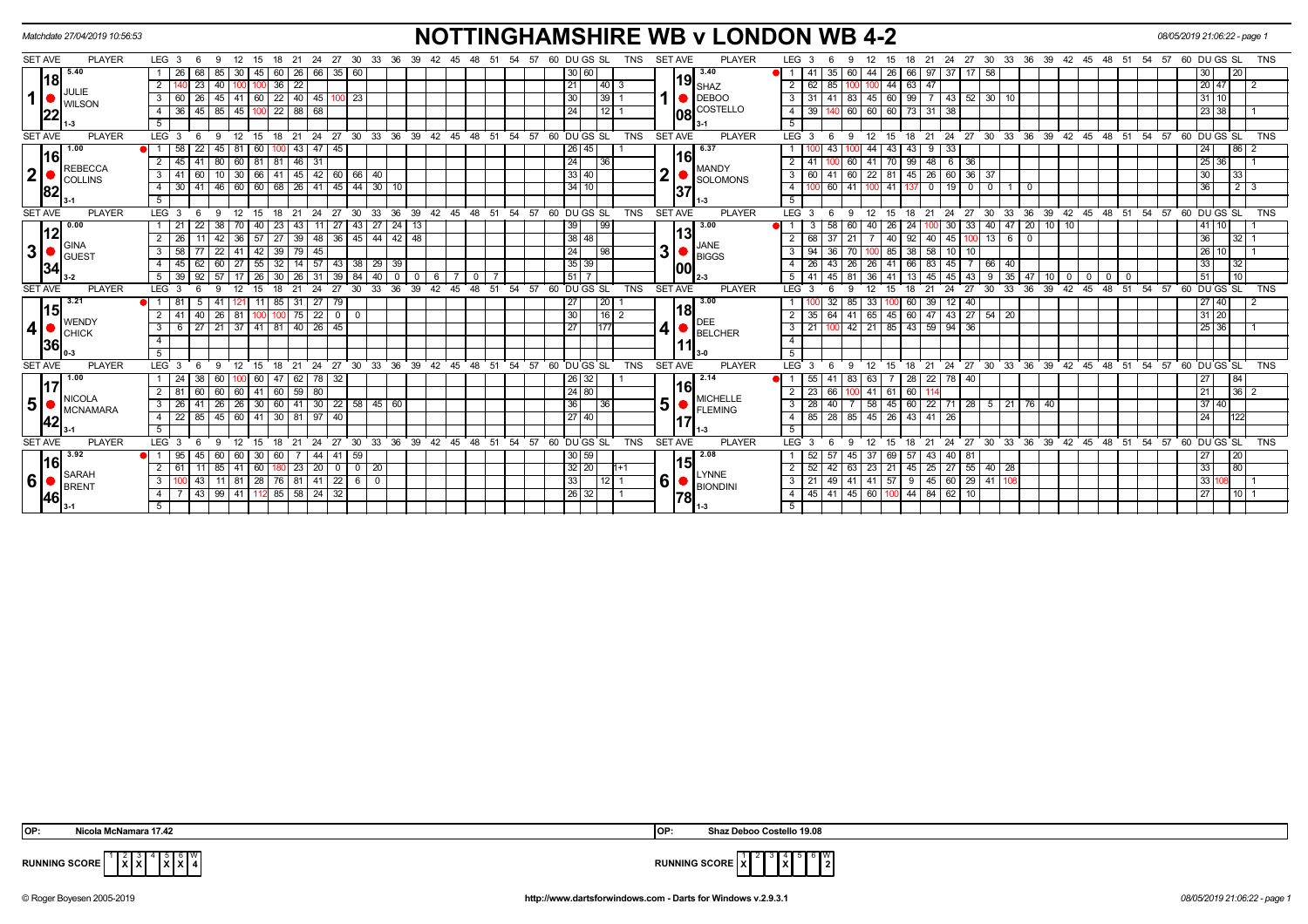| Matchdate 27/04/2019 10:56:53   |                                                                                    | <b>NOTTINGHAMSHIRE WB v LONDON WB 4-2</b>                                                                                                                                               | 08/05/2019 21:06:22 - page 1                                                                                |
|---------------------------------|------------------------------------------------------------------------------------|-----------------------------------------------------------------------------------------------------------------------------------------------------------------------------------------|-------------------------------------------------------------------------------------------------------------|
| <b>SET AVE</b><br><b>PLAYER</b> | $LEG_36$<br>27 30<br>12<br>21<br>24<br>33<br>-36<br>-9<br>15<br>18                 | <b>SET AVE</b><br>60 DU GS SL<br><b>TNS</b><br><b>PLAYER</b><br>LEG <sub>3</sub><br>24<br>27<br>30<br>- 33<br>36<br>39<br>-39<br>48<br>-54<br>-57<br>21<br>-42<br>-45                   | 60 DU GS SL<br>TNS<br>-45<br>48<br>-51<br>-54<br>57                                                         |
| $18 \overline{3}$               | 85<br>$\overline{60}$<br>26<br>68<br>30   45<br>26 66<br>35<br>60                  | 3.40<br>30 60 <br>$\blacksquare$<br>41<br>35 <sup>1</sup><br>60<br>$-44$<br>26<br>$97 \, 37$<br>66<br>17<br>58                                                                          | 30<br>20                                                                                                    |
| JULIE                           | $100$ $100$ $36$ $22$<br> 40 <br>$\sqrt{23}$<br>$\overline{2}$                     | $19$ <sub>SHAZ</sub><br>21<br> 40 3<br>100 100 44 63 47<br>62 85<br>$\overline{2}$                                                                                                      | 20 47<br>$\overline{1}$ 2                                                                                   |
| 1<br><b>WILSON</b>              | 45 41 60 22 40 45 100 23<br>60 26<br>3 I                                           | $\bigcirc$ DEBOO<br>  31   41   83   45   60   99   7   43   52   30   10<br>30<br> 39 1<br>$\mathbf{3}$                                                                                | 31   10                                                                                                     |
| 22                              | $145$ 85 45 100<br>$22$ 88 68<br>36<br>4 I                                         | <b>108</b> COSTELLO<br>140 60 60 60 73 31 38<br>24<br>$12$ 1<br>39<br>$\overline{4}$                                                                                                    | 23 38                                                                                                       |
|                                 | - 5                                                                                | 5                                                                                                                                                                                       |                                                                                                             |
| <b>PLAYER</b><br><b>SET AVE</b> | LEG <sub>3</sub><br>9<br>$12$ 15<br>- 6                                            | 18 21 24 27 30 33 36 39 42 45 48 51 54 57 60 DUGSSL<br><b>TNS</b><br>12 15 18 21 24 27 30 33 36 39 42 45 48 51 54 57 60 DUGS SL<br><b>SET AVE</b><br><b>PLAYER</b><br>LEG 3<br>9<br>- 6 | TNS                                                                                                         |
| 1.00<br> 16                     | 58<br>$45$ 81<br>$43 \mid 47 \mid 45$<br>22<br>  60<br>100                         | 26 45 <br>6.37<br>44<br>43<br>$9 \mid 33$<br>43<br>43<br>16I                                                                                                                            | $86$ 2<br>24                                                                                                |
| <b>REBECCA</b>                  | 80<br>$\overline{2}$<br>45<br>60 81<br>81<br>$46$ 31<br>  41                       | 24<br>99<br>$48$ 6 36<br> 36 <br>70<br>41<br>60<br>41<br><b>MANDY</b>                                                                                                                   | $25 \ 36$                                                                                                   |
| $\mathbf{2}$<br><b>C</b> OLLINS | 41<br>45 42 60 66 40<br>10<br>30   66<br>3 <sup>1</sup><br>-41<br>60               | $\overline{2}$<br> 33 40 <br>$45 \mid 26 \mid 60 \mid 36 \mid 37$<br>$\overline{\cdot}$<br>60<br>41 60 22<br>81<br><b>SOLOMONS</b>                                                      | 30 <sup>°</sup><br>33                                                                                       |
| 82                              | 4 30 41 46 60 60 68 26 41 45 44 30 10                                              | 34 10 <br>$\overline{4}$<br>60 41 100 41 137<br> 0119 00110<br> 37                                                                                                                      | 36                                                                                                          |
|                                 | 5 <sup>5</sup>                                                                     | 5 <sup>5</sup>                                                                                                                                                                          |                                                                                                             |
| <b>SET AVE</b><br><b>PLAYER</b> | 27 30<br>33<br>$LEG_36$<br>12<br>21 24<br>9<br>- 15<br>18                          | 36 39 42 45 48 51 54 57 60 DU GS SL<br><b>SET AVE</b><br><b>PLAYER</b><br><b>TNS</b><br>LEG <sub>3</sub><br>27<br>12<br>18<br>21<br>24<br>9<br>- 15                                     | 30 33 36 39 42 45 48 51 54 57 60 DUGS SL<br>TNS                                                             |
| $\sqrt{0.00}$                   | 38<br>23<br>22<br>43 I<br>1   21<br>40<br>43<br>-27                                | 39<br>3.00<br>27 24 13<br> 99 <br>$\overline{20}$<br>10 10<br>58<br>30<br>33<br>40 l<br>11<br>26<br>47<br>40.<br>24                                                                     | 41   10                                                                                                     |
| 12<br>$\Box$ GINA               | -26<br>42<br>$36 \mid 57$<br>27<br>$39 \mid 48$<br>36 45 44 42 48                  | 13<br>38 48<br>68<br>92<br>$13$ 6<br>40 I<br>45<br>21<br>40                                                                                                                             | 36<br>32 I                                                                                                  |
| 3 <sup>1</sup><br>Iguest        | 58<br>$22$ 41<br>39 <sup>°</sup><br>3 <sup>1</sup><br> 42 <br>79 45                | JANE<br>3 <sup>1</sup><br>24<br> 98 <br>3<br>94<br>38<br>58 I<br>10 <sup>1</sup><br>85<br>$\blacksquare$ BIGGS                                                                          | $26 \overline{10}$                                                                                          |
| 34                              | 32<br>$60$   27<br>$14$ 57 43<br>38 29 39<br>$\overline{4}$<br>45<br> 55           | $35 \mid 39$<br>-83 I<br>66   40<br>-26<br>-26<br>-26<br>66<br>45<br> 00                                                                                                                | 33<br>32                                                                                                    |
|                                 | 30<br>39<br>39<br>57<br>40 I<br>-26<br>26   31<br>84<br>$^{\circ}$                 | 51<br>35<br>6<br>45<br>45<br>9<br>-47<br>$\mathbf{O}$<br>$\mathbf{O}$<br>43<br>- 10 I                                                                                                   | 51<br>10 <sup>1</sup><br>$\mathbf{0}$<br>$\overline{\phantom{0}}$ 0 $\overline{\phantom{0}}$<br>$\mathbf 0$ |
| <b>SET AVE</b><br><b>PLAYER</b> | LEG <sub>3</sub><br>27<br>33<br>36<br>21<br>-24<br>30                              | 48<br>54<br>57<br>60 DUGS SL<br><b>TNS</b><br><b>SET AVE</b><br>39<br>ີ 42<br>45<br>51<br><b>PLAYER</b><br>LEG <sup>®</sup><br>30<br>33<br>36<br>39 42<br>27                            | $\overline{54}$<br>48 51<br>$5760$ DU GS SL<br>45<br><b>TNS</b>                                             |
| 3.21                            | 85<br>31<br>27<br>79                                                               | 3.00<br>27<br> 20 <br>39<br>$12 \overline{ }$<br>-33<br>40                                                                                                                              | 27   40                                                                                                     |
| 15 <br><b>WENDY</b>             | 26<br>$75$   22<br>40<br>81<br>$\overline{0}$<br>$\overline{2}$<br>100<br>$\Omega$ | 18<br>30<br>60<br>47 43 27 54 20<br>$16$   2<br>64<br>41<br>65<br>45<br>$\overline{2}$<br>35<br><b>IDEE</b>                                                                             | $31 \ 20$                                                                                                   |
| 4<br>Існіск                     | 27 21 37 41 81<br>$40$   26   45<br>3 <sup>1</sup><br>- 6                          | 4<br>27<br>100 42 21 85 43 59 94 36<br>177<br>21<br>$\mathbf{3}$<br><b>BELCHER</b>                                                                                                      | 25 36                                                                                                       |
| <b>36</b>                       | $\overline{4}$                                                                     | $\overline{4}$                                                                                                                                                                          |                                                                                                             |
|                                 | 5 <sup>5</sup>                                                                     | -5                                                                                                                                                                                      |                                                                                                             |
| <b>PLAYER</b><br><b>SET AVE</b> | LEG <sub>3</sub><br>12<br>15<br>- 6<br>9                                           | 18 21 24 27 30 33 36 39 42 45 48 51 54<br>21 24 27 30 33 36 39 42 45 48 51 54<br>57 60 DU GS SL<br>TNS<br><b>SET AVE</b><br><b>PLAYER</b><br>LEG 3<br>12<br>-9<br>15<br>18              | 57 60 DU GS SL<br>TNS                                                                                       |
| 1.00<br>17                      | $1 \mid 24$<br>60 I<br>$62$ 78 32<br>38<br>$100$ 60<br>47                          | 2.14<br>26 32 <br>83 63<br>$\sqrt{28}$<br>$22$ 78 40<br>-55 I                                                                                                                           | 27<br>84                                                                                                    |
| <b>NICOLA</b>                   | 60 60 41 60 59 80<br>$2$ 81<br>60 I                                                | 16I<br>24 80 <br>60<br>41 61<br>23<br>66 I<br><b>MICHELLE</b>                                                                                                                           | $36 \mid 2$<br>21                                                                                           |
| 5 <br>MCNAMARA                  | 26   26   30   60   41   30   22   58   45   60<br>$3 \mid 26 \mid 41 \mid$        | 5<br>36<br>  58   45   60   22   71   28   5   21   76<br>  36  <br>28<br>40 I<br>40 I<br><b>FLEMING</b>                                                                                | 37 40                                                                                                       |
| 42                              | 45 60 41 30 81 97 40<br>$4$   22   85                                              | 27 40<br>  85   28   85   45   26   43   41   26<br>$\overline{4}$                                                                                                                      | 24<br>122                                                                                                   |
|                                 | $\overline{5}$                                                                     | $\overline{5}$                                                                                                                                                                          |                                                                                                             |
| <b>SET AVE</b><br><b>PLAYER</b> | $LEG_36$<br>33<br>$^{\circ}$ 12<br>21<br>24<br>27 30<br>-9<br>- 15<br>18           | 54 57 60 DUGS SL<br><b>SET AVE</b><br><b>PLAYER</b><br>27 30 33 36 39 42 45 48 51 54<br>$36$ 39 42 45 48 51<br><b>TNS</b><br>LEG 3<br>12<br>18<br>21<br>24<br>9<br>- 15                 | $57$ 60 DU GS SL<br><b>TNS</b>                                                                              |
| 3.92<br>16                      | $\sqrt{44}$<br>1 95<br>60 60 30<br>60<br>41<br>59<br>  45                          | 2.08<br>30 59 <br>43 40 81<br>45 37<br>69 57<br>52                                                                                                                                      | 20<br>27                                                                                                    |
|                                 | 85 41 60<br>180 23 20<br>2<br>61<br>$\overline{0}$<br>$0 \mid 20$<br>$-111$        | 15<br>$32 \mid 20 \mid$<br>52<br>42 63 23 21 45 25 27 55 40 28<br>$h+1$                                                                                                                 | 80<br>33                                                                                                    |
| SARAH<br>6 <br><b>BRENT</b>     | 11 81 28 76 81 41 22 6 0<br>3 <sup>1</sup><br>$\sqrt{43}$                          | <b>LYNNE</b><br>$6\vert$<br>33<br>21 49 41 41 57 9 45 60 29 41 108<br>$12$   1<br>3<br><b>BIONDINI</b>                                                                                  | 33 108                                                                                                      |
| <b>46</b>                       | 43   99   41   112   85   58   24   32<br>4 I                                      | 26 32 <br>45 41 45 60 100 44 84 62 10<br>$\overline{4}$<br> 78                                                                                                                          | 27<br>$10$ 1                                                                                                |
|                                 | 5 <sub>1</sub>                                                                     | - 5                                                                                                                                                                                     |                                                                                                             |
|                                 |                                                                                    |                                                                                                                                                                                         |                                                                                                             |

| OP:            | $\sim$ $\sim$                  | זטו | tello 19.08ء |
|----------------|--------------------------------|-----|--------------|
| <b>DUMBRIA</b> | . .<br>$\ x\ x\ $<br>uure<br>. |     | .            |